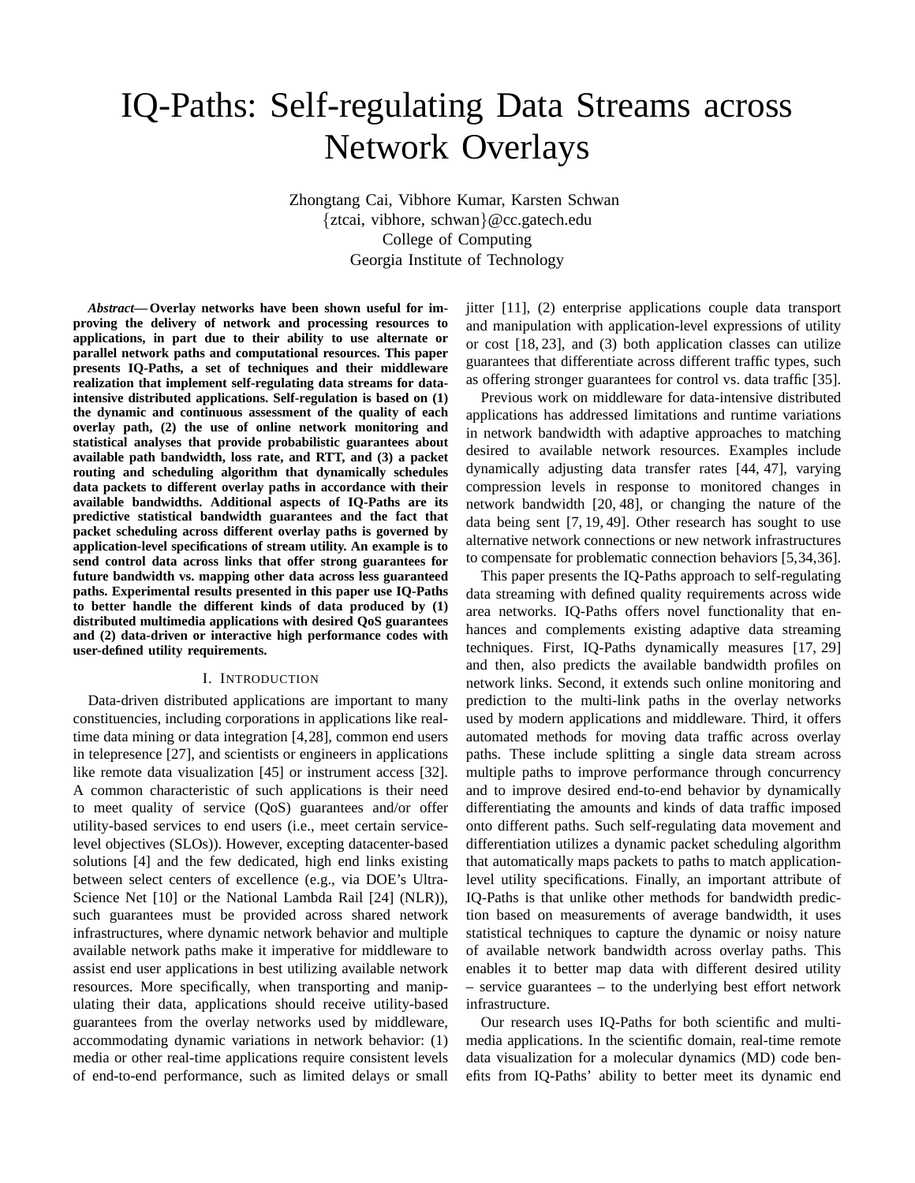# IQ-Paths: Self-regulating Data Streams across Network Overlays

Zhongtang Cai, Vibhore Kumar, Karsten Schwan {ztcai, vibhore, schwan}@cc.gatech.edu College of Computing Georgia Institute of Technology

*Abstract***— Overlay networks have been shown useful for improving the delivery of network and processing resources to applications, in part due to their ability to use alternate or parallel network paths and computational resources. This paper presents IQ-Paths, a set of techniques and their middleware realization that implement self-regulating data streams for dataintensive distributed applications. Self-regulation is based on (1) the dynamic and continuous assessment of the quality of each overlay path, (2) the use of online network monitoring and statistical analyses that provide probabilistic guarantees about available path bandwidth, loss rate, and RTT, and (3) a packet routing and scheduling algorithm that dynamically schedules data packets to different overlay paths in accordance with their available bandwidths. Additional aspects of IQ-Paths are its predictive statistical bandwidth guarantees and the fact that packet scheduling across different overlay paths is governed by application-level specifications of stream utility. An example is to send control data across links that offer strong guarantees for future bandwidth vs. mapping other data across less guaranteed paths. Experimental results presented in this paper use IQ-Paths to better handle the different kinds of data produced by (1) distributed multimedia applications with desired QoS guarantees and (2) data-driven or interactive high performance codes with user-defined utility requirements.**

#### I. INTRODUCTION

Data-driven distributed applications are important to many constituencies, including corporations in applications like realtime data mining or data integration [4,28], common end users in telepresence [27], and scientists or engineers in applications like remote data visualization [45] or instrument access [32]. A common characteristic of such applications is their need to meet quality of service (QoS) guarantees and/or offer utility-based services to end users (i.e., meet certain servicelevel objectives (SLOs)). However, excepting datacenter-based solutions [4] and the few dedicated, high end links existing between select centers of excellence (e.g., via DOE's Ultra-Science Net [10] or the National Lambda Rail [24] (NLR)), such guarantees must be provided across shared network infrastructures, where dynamic network behavior and multiple available network paths make it imperative for middleware to assist end user applications in best utilizing available network resources. More specifically, when transporting and manipulating their data, applications should receive utility-based guarantees from the overlay networks used by middleware, accommodating dynamic variations in network behavior: (1) media or other real-time applications require consistent levels of end-to-end performance, such as limited delays or small jitter [11], (2) enterprise applications couple data transport and manipulation with application-level expressions of utility or cost [18, 23], and (3) both application classes can utilize guarantees that differentiate across different traffic types, such as offering stronger guarantees for control vs. data traffic [35].

Previous work on middleware for data-intensive distributed applications has addressed limitations and runtime variations in network bandwidth with adaptive approaches to matching desired to available network resources. Examples include dynamically adjusting data transfer rates [44, 47], varying compression levels in response to monitored changes in network bandwidth [20, 48], or changing the nature of the data being sent [7, 19, 49]. Other research has sought to use alternative network connections or new network infrastructures to compensate for problematic connection behaviors [5,34,36].

This paper presents the IQ-Paths approach to self-regulating data streaming with defined quality requirements across wide area networks. IQ-Paths offers novel functionality that enhances and complements existing adaptive data streaming techniques. First, IQ-Paths dynamically measures [17, 29] and then, also predicts the available bandwidth profiles on network links. Second, it extends such online monitoring and prediction to the multi-link paths in the overlay networks used by modern applications and middleware. Third, it offers automated methods for moving data traffic across overlay paths. These include splitting a single data stream across multiple paths to improve performance through concurrency and to improve desired end-to-end behavior by dynamically differentiating the amounts and kinds of data traffic imposed onto different paths. Such self-regulating data movement and differentiation utilizes a dynamic packet scheduling algorithm that automatically maps packets to paths to match applicationlevel utility specifications. Finally, an important attribute of IQ-Paths is that unlike other methods for bandwidth prediction based on measurements of average bandwidth, it uses statistical techniques to capture the dynamic or noisy nature of available network bandwidth across overlay paths. This enables it to better map data with different desired utility – service guarantees – to the underlying best effort network infrastructure.

Our research uses IQ-Paths for both scientific and multimedia applications. In the scientific domain, real-time remote data visualization for a molecular dynamics (MD) code benefits from IQ-Paths' ability to better meet its dynamic end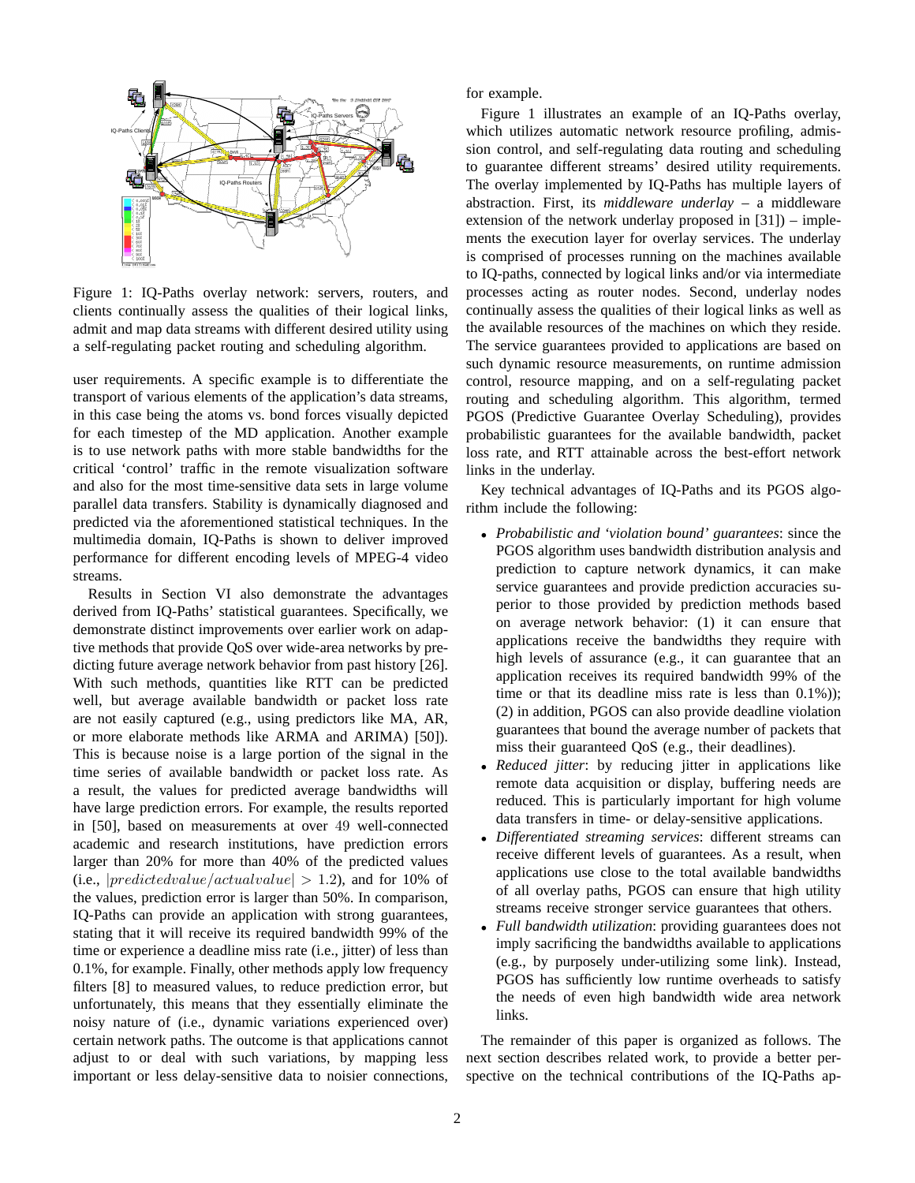

Figure 1: IQ-Paths overlay network: servers, routers, and clients continually assess the qualities of their logical links, admit and map data streams with different desired utility using a self-regulating packet routing and scheduling algorithm.

user requirements. A specific example is to differentiate the transport of various elements of the application's data streams, in this case being the atoms vs. bond forces visually depicted for each timestep of the MD application. Another example is to use network paths with more stable bandwidths for the critical 'control' traffic in the remote visualization software and also for the most time-sensitive data sets in large volume parallel data transfers. Stability is dynamically diagnosed and predicted via the aforementioned statistical techniques. In the multimedia domain, IQ-Paths is shown to deliver improved performance for different encoding levels of MPEG-4 video streams.

Results in Section VI also demonstrate the advantages derived from IQ-Paths' statistical guarantees. Specifically, we demonstrate distinct improvements over earlier work on adaptive methods that provide QoS over wide-area networks by predicting future average network behavior from past history [26]. With such methods, quantities like RTT can be predicted well, but average available bandwidth or packet loss rate are not easily captured (e.g., using predictors like MA, AR, or more elaborate methods like ARMA and ARIMA) [50]). This is because noise is a large portion of the signal in the time series of available bandwidth or packet loss rate. As a result, the values for predicted average bandwidths will have large prediction errors. For example, the results reported in [50], based on measurements at over 49 well-connected academic and research institutions, have prediction errors larger than 20% for more than 40% of the predicted values (i.e.,  $|predicted value/actual value| > 1.2$ ), and for 10% of the values, prediction error is larger than 50%. In comparison, IQ-Paths can provide an application with strong guarantees, stating that it will receive its required bandwidth 99% of the time or experience a deadline miss rate (i.e., jitter) of less than 0.1%, for example. Finally, other methods apply low frequency filters [8] to measured values, to reduce prediction error, but unfortunately, this means that they essentially eliminate the noisy nature of (i.e., dynamic variations experienced over) certain network paths. The outcome is that applications cannot adjust to or deal with such variations, by mapping less important or less delay-sensitive data to noisier connections,

for example.

Figure 1 illustrates an example of an IQ-Paths overlay, which utilizes automatic network resource profiling, admission control, and self-regulating data routing and scheduling to guarantee different streams' desired utility requirements. The overlay implemented by IQ-Paths has multiple layers of abstraction. First, its *middleware underlay* – a middleware extension of the network underlay proposed in [31]) – implements the execution layer for overlay services. The underlay is comprised of processes running on the machines available to IQ-paths, connected by logical links and/or via intermediate processes acting as router nodes. Second, underlay nodes continually assess the qualities of their logical links as well as the available resources of the machines on which they reside. The service guarantees provided to applications are based on such dynamic resource measurements, on runtime admission control, resource mapping, and on a self-regulating packet routing and scheduling algorithm. This algorithm, termed PGOS (Predictive Guarantee Overlay Scheduling), provides probabilistic guarantees for the available bandwidth, packet loss rate, and RTT attainable across the best-effort network links in the underlay.

Key technical advantages of IQ-Paths and its PGOS algorithm include the following:

- *Probabilistic and 'violation bound' guarantees*: since the PGOS algorithm uses bandwidth distribution analysis and prediction to capture network dynamics, it can make service guarantees and provide prediction accuracies superior to those provided by prediction methods based on average network behavior: (1) it can ensure that applications receive the bandwidths they require with high levels of assurance (e.g., it can guarantee that an application receives its required bandwidth 99% of the time or that its deadline miss rate is less than 0.1%)); (2) in addition, PGOS can also provide deadline violation guarantees that bound the average number of packets that miss their guaranteed QoS (e.g., their deadlines).
- *Reduced jitter*: by reducing jitter in applications like remote data acquisition or display, buffering needs are reduced. This is particularly important for high volume data transfers in time- or delay-sensitive applications.
- *Differentiated streaming services*: different streams can receive different levels of guarantees. As a result, when applications use close to the total available bandwidths of all overlay paths, PGOS can ensure that high utility streams receive stronger service guarantees that others.
- *Full bandwidth utilization*: providing guarantees does not imply sacrificing the bandwidths available to applications (e.g., by purposely under-utilizing some link). Instead, PGOS has sufficiently low runtime overheads to satisfy the needs of even high bandwidth wide area network links.

The remainder of this paper is organized as follows. The next section describes related work, to provide a better perspective on the technical contributions of the IQ-Paths ap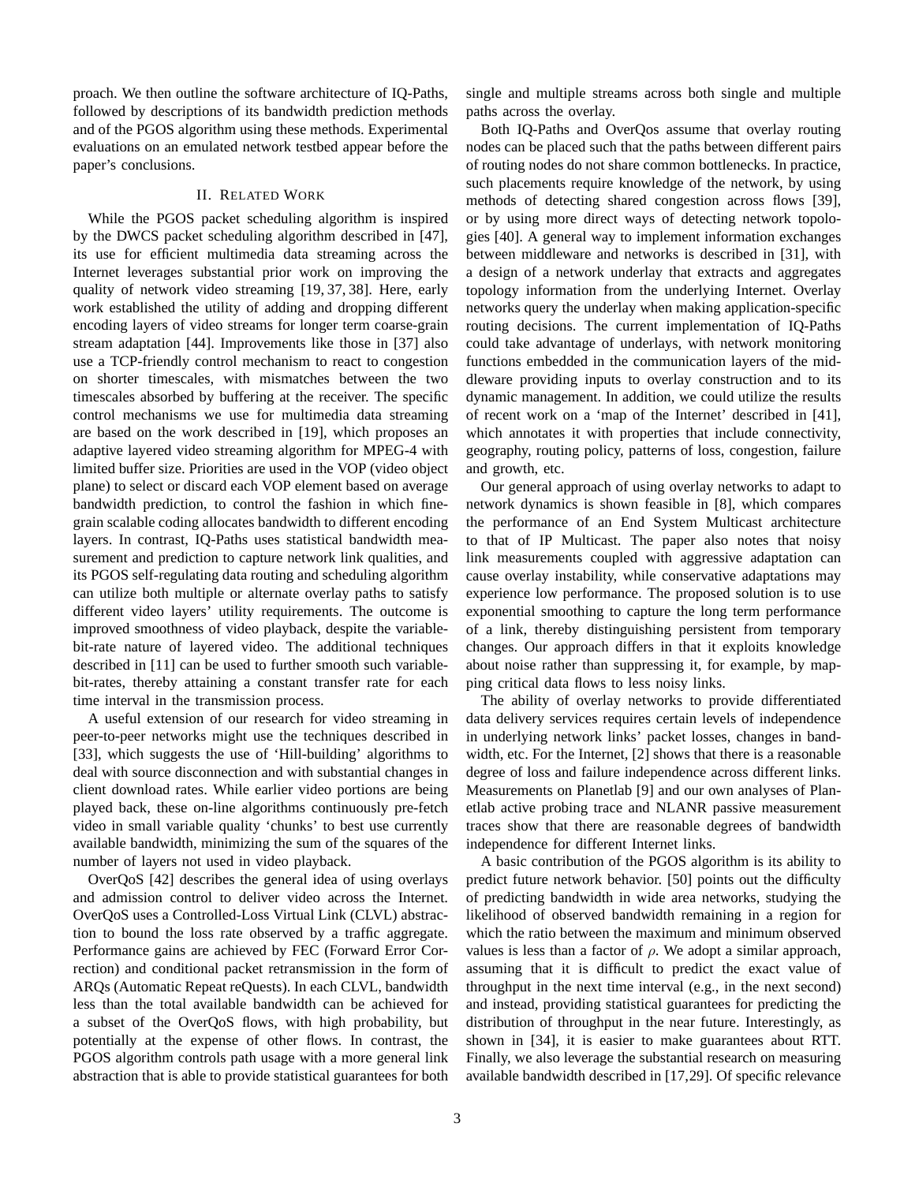proach. We then outline the software architecture of IQ-Paths, followed by descriptions of its bandwidth prediction methods and of the PGOS algorithm using these methods. Experimental evaluations on an emulated network testbed appear before the paper's conclusions.

## II. RELATED WORK

While the PGOS packet scheduling algorithm is inspired by the DWCS packet scheduling algorithm described in [47], its use for efficient multimedia data streaming across the Internet leverages substantial prior work on improving the quality of network video streaming [19, 37, 38]. Here, early work established the utility of adding and dropping different encoding layers of video streams for longer term coarse-grain stream adaptation [44]. Improvements like those in [37] also use a TCP-friendly control mechanism to react to congestion on shorter timescales, with mismatches between the two timescales absorbed by buffering at the receiver. The specific control mechanisms we use for multimedia data streaming are based on the work described in [19], which proposes an adaptive layered video streaming algorithm for MPEG-4 with limited buffer size. Priorities are used in the VOP (video object plane) to select or discard each VOP element based on average bandwidth prediction, to control the fashion in which finegrain scalable coding allocates bandwidth to different encoding layers. In contrast, IQ-Paths uses statistical bandwidth measurement and prediction to capture network link qualities, and its PGOS self-regulating data routing and scheduling algorithm can utilize both multiple or alternate overlay paths to satisfy different video layers' utility requirements. The outcome is improved smoothness of video playback, despite the variablebit-rate nature of layered video. The additional techniques described in [11] can be used to further smooth such variablebit-rates, thereby attaining a constant transfer rate for each time interval in the transmission process.

A useful extension of our research for video streaming in peer-to-peer networks might use the techniques described in [33], which suggests the use of 'Hill-building' algorithms to deal with source disconnection and with substantial changes in client download rates. While earlier video portions are being played back, these on-line algorithms continuously pre-fetch video in small variable quality 'chunks' to best use currently available bandwidth, minimizing the sum of the squares of the number of layers not used in video playback.

OverQoS [42] describes the general idea of using overlays and admission control to deliver video across the Internet. OverQoS uses a Controlled-Loss Virtual Link (CLVL) abstraction to bound the loss rate observed by a traffic aggregate. Performance gains are achieved by FEC (Forward Error Correction) and conditional packet retransmission in the form of ARQs (Automatic Repeat reQuests). In each CLVL, bandwidth less than the total available bandwidth can be achieved for a subset of the OverQoS flows, with high probability, but potentially at the expense of other flows. In contrast, the PGOS algorithm controls path usage with a more general link abstraction that is able to provide statistical guarantees for both single and multiple streams across both single and multiple paths across the overlay.

Both IQ-Paths and OverQos assume that overlay routing nodes can be placed such that the paths between different pairs of routing nodes do not share common bottlenecks. In practice, such placements require knowledge of the network, by using methods of detecting shared congestion across flows [39], or by using more direct ways of detecting network topologies [40]. A general way to implement information exchanges between middleware and networks is described in [31], with a design of a network underlay that extracts and aggregates topology information from the underlying Internet. Overlay networks query the underlay when making application-specific routing decisions. The current implementation of IQ-Paths could take advantage of underlays, with network monitoring functions embedded in the communication layers of the middleware providing inputs to overlay construction and to its dynamic management. In addition, we could utilize the results of recent work on a 'map of the Internet' described in [41], which annotates it with properties that include connectivity, geography, routing policy, patterns of loss, congestion, failure and growth, etc.

Our general approach of using overlay networks to adapt to network dynamics is shown feasible in [8], which compares the performance of an End System Multicast architecture to that of IP Multicast. The paper also notes that noisy link measurements coupled with aggressive adaptation can cause overlay instability, while conservative adaptations may experience low performance. The proposed solution is to use exponential smoothing to capture the long term performance of a link, thereby distinguishing persistent from temporary changes. Our approach differs in that it exploits knowledge about noise rather than suppressing it, for example, by mapping critical data flows to less noisy links.

The ability of overlay networks to provide differentiated data delivery services requires certain levels of independence in underlying network links' packet losses, changes in bandwidth, etc. For the Internet, [2] shows that there is a reasonable degree of loss and failure independence across different links. Measurements on Planetlab [9] and our own analyses of Planetlab active probing trace and NLANR passive measurement traces show that there are reasonable degrees of bandwidth independence for different Internet links.

A basic contribution of the PGOS algorithm is its ability to predict future network behavior. [50] points out the difficulty of predicting bandwidth in wide area networks, studying the likelihood of observed bandwidth remaining in a region for which the ratio between the maximum and minimum observed values is less than a factor of  $\rho$ . We adopt a similar approach, assuming that it is difficult to predict the exact value of throughput in the next time interval (e.g., in the next second) and instead, providing statistical guarantees for predicting the distribution of throughput in the near future. Interestingly, as shown in [34], it is easier to make guarantees about RTT. Finally, we also leverage the substantial research on measuring available bandwidth described in [17,29]. Of specific relevance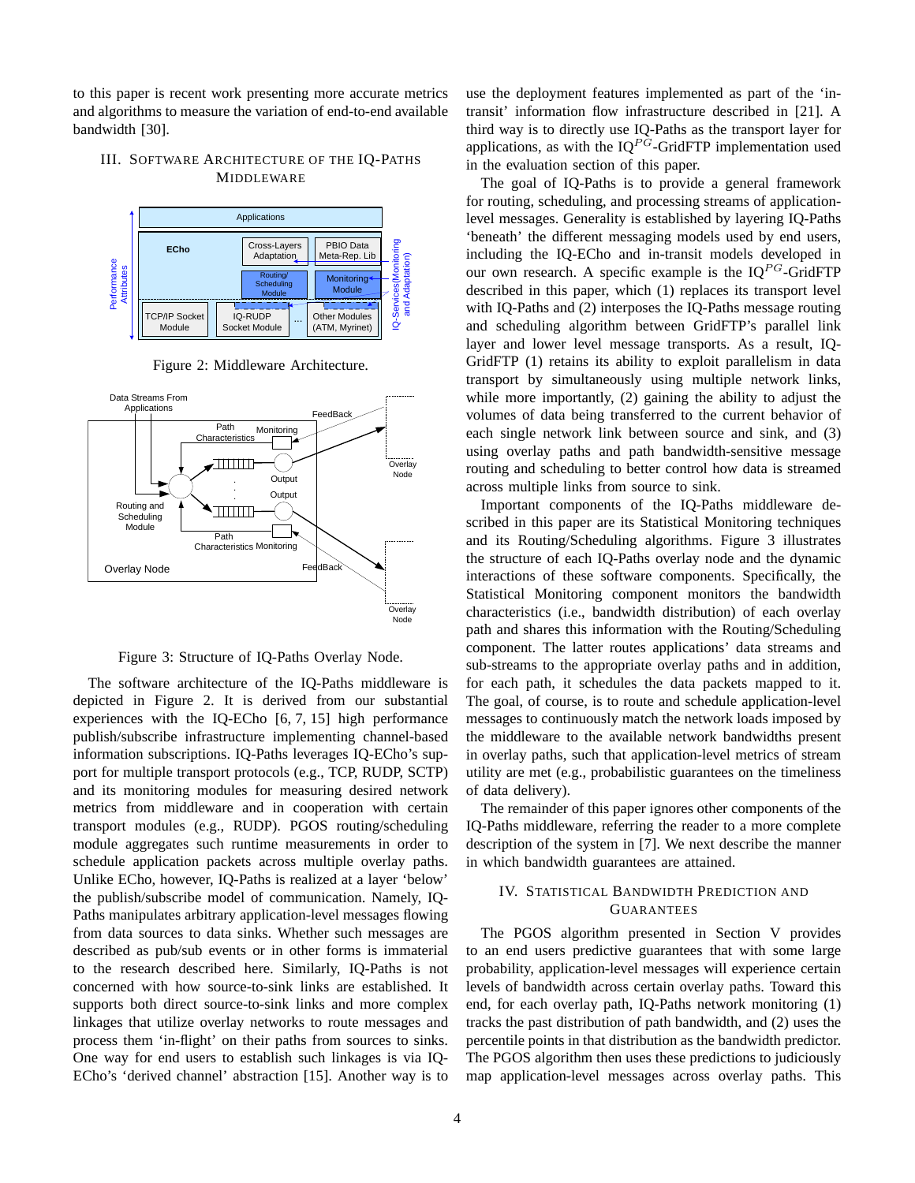to this paper is recent work presenting more accurate metrics and algorithms to measure the variation of end-to-end available bandwidth [30].

## III. SOFTWARE ARCHITECTURE OF THE IQ-PATHS MIDDLEWARE



Figure 2: Middleware Architecture.



Figure 3: Structure of IQ-Paths Overlay Node.

The software architecture of the IQ-Paths middleware is depicted in Figure 2. It is derived from our substantial experiences with the IQ-ECho [6, 7, 15] high performance publish/subscribe infrastructure implementing channel-based information subscriptions. IQ-Paths leverages IQ-ECho's support for multiple transport protocols (e.g., TCP, RUDP, SCTP) and its monitoring modules for measuring desired network metrics from middleware and in cooperation with certain transport modules (e.g., RUDP). PGOS routing/scheduling module aggregates such runtime measurements in order to schedule application packets across multiple overlay paths. Unlike ECho, however, IQ-Paths is realized at a layer 'below' the publish/subscribe model of communication. Namely, IQ-Paths manipulates arbitrary application-level messages flowing from data sources to data sinks. Whether such messages are described as pub/sub events or in other forms is immaterial to the research described here. Similarly, IQ-Paths is not concerned with how source-to-sink links are established. It supports both direct source-to-sink links and more complex linkages that utilize overlay networks to route messages and process them 'in-flight' on their paths from sources to sinks. One way for end users to establish such linkages is via IQ-ECho's 'derived channel' abstraction [15]. Another way is to use the deployment features implemented as part of the 'intransit' information flow infrastructure described in [21]. A third way is to directly use IQ-Paths as the transport layer for applications, as with the  $IQ^{PG}$ -GridFTP implementation used in the evaluation section of this paper.

The goal of IQ-Paths is to provide a general framework for routing, scheduling, and processing streams of applicationlevel messages. Generality is established by layering IQ-Paths 'beneath' the different messaging models used by end users, including the IQ-ECho and in-transit models developed in our own research. A specific example is the IQ<sup>PG</sup>-GridFTP described in this paper, which (1) replaces its transport level with IQ-Paths and (2) interposes the IQ-Paths message routing and scheduling algorithm between GridFTP's parallel link layer and lower level message transports. As a result, IQ-GridFTP (1) retains its ability to exploit parallelism in data transport by simultaneously using multiple network links, while more importantly, (2) gaining the ability to adjust the volumes of data being transferred to the current behavior of each single network link between source and sink, and (3) using overlay paths and path bandwidth-sensitive message routing and scheduling to better control how data is streamed across multiple links from source to sink.

Important components of the IQ-Paths middleware described in this paper are its Statistical Monitoring techniques and its Routing/Scheduling algorithms. Figure 3 illustrates the structure of each IQ-Paths overlay node and the dynamic interactions of these software components. Specifically, the Statistical Monitoring component monitors the bandwidth characteristics (i.e., bandwidth distribution) of each overlay path and shares this information with the Routing/Scheduling component. The latter routes applications' data streams and sub-streams to the appropriate overlay paths and in addition, for each path, it schedules the data packets mapped to it. The goal, of course, is to route and schedule application-level messages to continuously match the network loads imposed by the middleware to the available network bandwidths present in overlay paths, such that application-level metrics of stream utility are met (e.g., probabilistic guarantees on the timeliness of data delivery).

The remainder of this paper ignores other components of the IQ-Paths middleware, referring the reader to a more complete description of the system in [7]. We next describe the manner in which bandwidth guarantees are attained.

## IV. STATISTICAL BANDWIDTH PREDICTION AND GUARANTEES

The PGOS algorithm presented in Section V provides to an end users predictive guarantees that with some large probability, application-level messages will experience certain levels of bandwidth across certain overlay paths. Toward this end, for each overlay path, IQ-Paths network monitoring (1) tracks the past distribution of path bandwidth, and (2) uses the percentile points in that distribution as the bandwidth predictor. The PGOS algorithm then uses these predictions to judiciously map application-level messages across overlay paths. This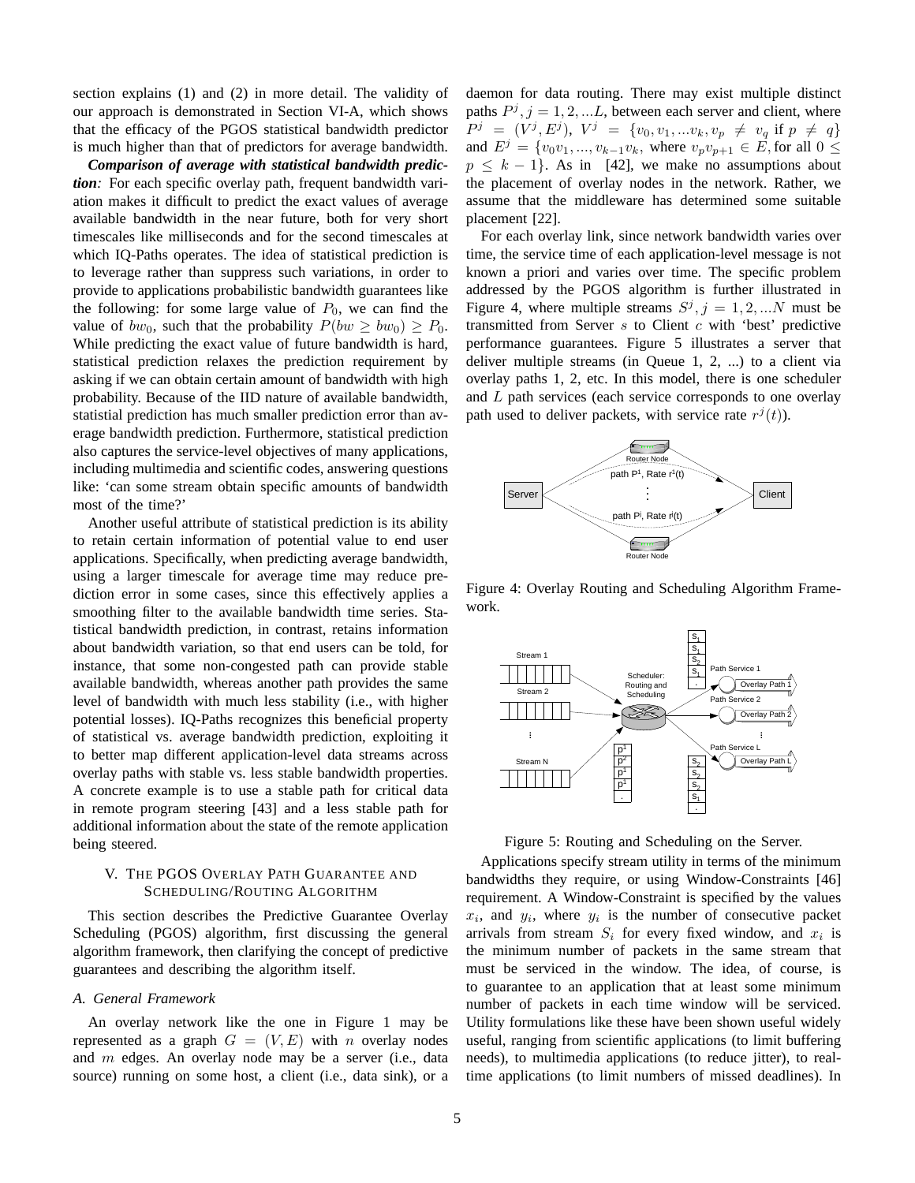section explains (1) and (2) in more detail. The validity of our approach is demonstrated in Section VI-A, which shows that the efficacy of the PGOS statistical bandwidth predictor is much higher than that of predictors for average bandwidth.

*Comparison of average with statistical bandwidth prediction:* For each specific overlay path, frequent bandwidth variation makes it difficult to predict the exact values of average available bandwidth in the near future, both for very short timescales like milliseconds and for the second timescales at which IQ-Paths operates. The idea of statistical prediction is to leverage rather than suppress such variations, in order to provide to applications probabilistic bandwidth guarantees like the following: for some large value of  $P_0$ , we can find the value of  $bw_0$ , such that the probability  $P(bw \geq bw_0) \geq P_0$ . While predicting the exact value of future bandwidth is hard, statistical prediction relaxes the prediction requirement by asking if we can obtain certain amount of bandwidth with high probability. Because of the IID nature of available bandwidth, statistial prediction has much smaller prediction error than average bandwidth prediction. Furthermore, statistical prediction also captures the service-level objectives of many applications, including multimedia and scientific codes, answering questions like: 'can some stream obtain specific amounts of bandwidth most of the time?'

Another useful attribute of statistical prediction is its ability to retain certain information of potential value to end user applications. Specifically, when predicting average bandwidth, using a larger timescale for average time may reduce prediction error in some cases, since this effectively applies a smoothing filter to the available bandwidth time series. Statistical bandwidth prediction, in contrast, retains information about bandwidth variation, so that end users can be told, for instance, that some non-congested path can provide stable available bandwidth, whereas another path provides the same level of bandwidth with much less stability (i.e., with higher potential losses). IQ-Paths recognizes this beneficial property of statistical vs. average bandwidth prediction, exploiting it to better map different application-level data streams across overlay paths with stable vs. less stable bandwidth properties. A concrete example is to use a stable path for critical data in remote program steering [43] and a less stable path for additional information about the state of the remote application being steered.

## V. THE PGOS OVERLAY PATH GUARANTEE AND SCHEDULING/ROUTING ALGORITHM

This section describes the Predictive Guarantee Overlay Scheduling (PGOS) algorithm, first discussing the general algorithm framework, then clarifying the concept of predictive guarantees and describing the algorithm itself.

#### *A. General Framework*

An overlay network like the one in Figure 1 may be represented as a graph  $G = (V, E)$  with n overlay nodes and  $m$  edges. An overlay node may be a server (i.e., data source) running on some host, a client (i.e., data sink), or a daemon for data routing. There may exist multiple distinct paths  $P^j$ ,  $j = 1, 2, ... L$ , between each server and client, where  $P^j = (V^j, E^j), V^j = \{v_0, v_1, ... v_k, v_p \neq v_q \text{ if } p \neq q\}$ and  $E^j = \{v_0v_1, ..., v_{k-1}v_k, \text{ where } v_pv_{p+1} \in E, \text{ for all } 0 \leq$  $p \leq k - 1$ . As in [42], we make no assumptions about the placement of overlay nodes in the network. Rather, we assume that the middleware has determined some suitable placement [22].

For each overlay link, since network bandwidth varies over time, the service time of each application-level message is not known a priori and varies over time. The specific problem addressed by the PGOS algorithm is further illustrated in Figure 4, where multiple streams  $S^j$ ,  $j = 1, 2, ...N$  must be transmitted from Server  $s$  to Client  $c$  with 'best' predictive performance guarantees. Figure 5 illustrates a server that deliver multiple streams (in Queue 1, 2, ...) to a client via overlay paths 1, 2, etc. In this model, there is one scheduler and L path services (each service corresponds to one overlay path used to deliver packets, with service rate  $r^{j}(t)$ ).



Figure 4: Overlay Routing and Scheduling Algorithm Framework.



Figure 5: Routing and Scheduling on the Server.

Applications specify stream utility in terms of the minimum bandwidths they require, or using Window-Constraints [46] requirement. A Window-Constraint is specified by the values  $x_i$ , and  $y_i$ , where  $y_i$  is the number of consecutive packet arrivals from stream  $S_i$  for every fixed window, and  $x_i$  is the minimum number of packets in the same stream that must be serviced in the window. The idea, of course, is to guarantee to an application that at least some minimum number of packets in each time window will be serviced. Utility formulations like these have been shown useful widely useful, ranging from scientific applications (to limit buffering needs), to multimedia applications (to reduce jitter), to realtime applications (to limit numbers of missed deadlines). In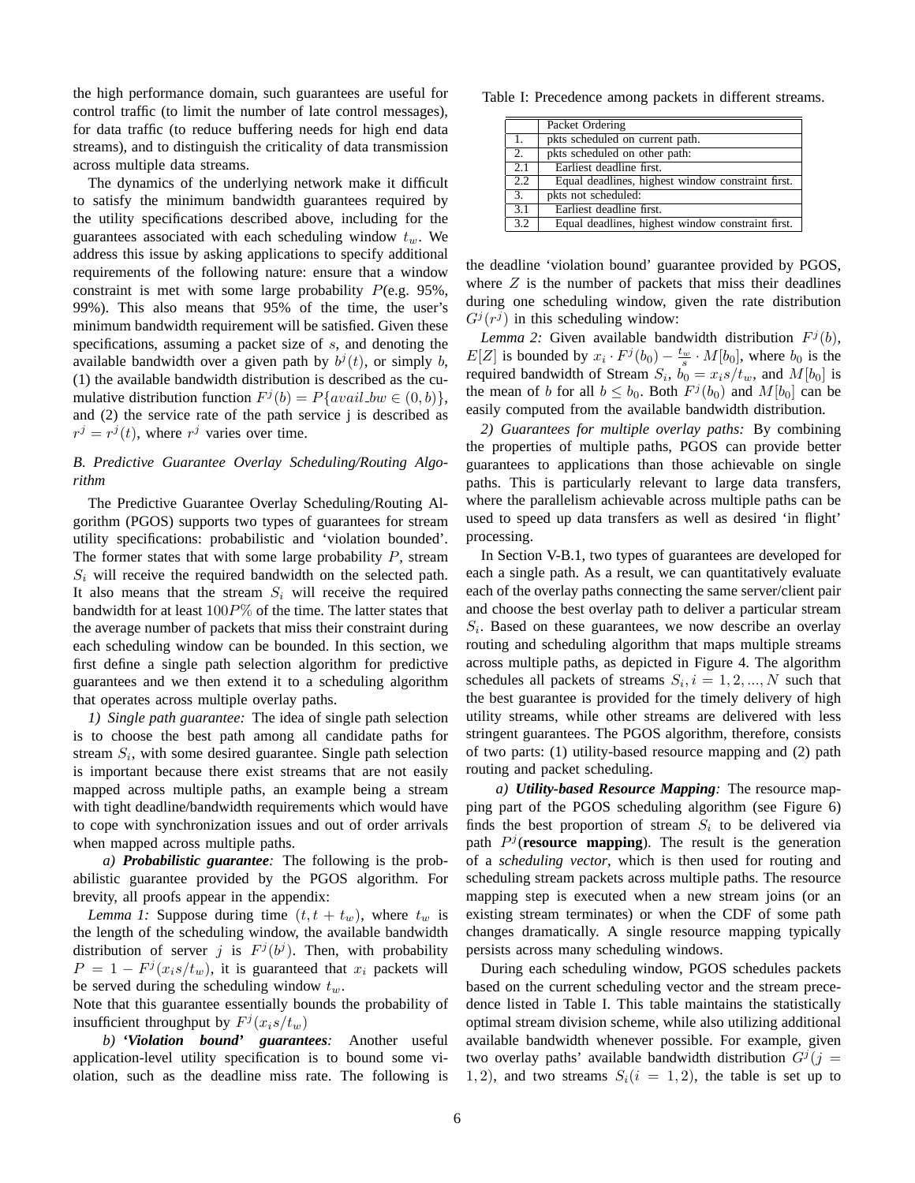the high performance domain, such guarantees are useful for control traffic (to limit the number of late control messages), for data traffic (to reduce buffering needs for high end data streams), and to distinguish the criticality of data transmission across multiple data streams.

The dynamics of the underlying network make it difficult to satisfy the minimum bandwidth guarantees required by the utility specifications described above, including for the guarantees associated with each scheduling window  $t_w$ . We address this issue by asking applications to specify additional requirements of the following nature: ensure that a window constraint is met with some large probability  $P(e.g., 95\%, )$ 99%). This also means that 95% of the time, the user's minimum bandwidth requirement will be satisfied. Given these specifications, assuming a packet size of  $s$ , and denoting the available bandwidth over a given path by  $b^{j}(t)$ , or simply b, (1) the available bandwidth distribution is described as the cumulative distribution function  $F^j(b) = P\{avail\_bw \in (0, b)\},$ and (2) the service rate of the path service j is described as  $r^j = r^j(t)$ , where  $r^j$  varies over time.

## *B. Predictive Guarantee Overlay Scheduling/Routing Algorithm*

The Predictive Guarantee Overlay Scheduling/Routing Algorithm (PGOS) supports two types of guarantees for stream utility specifications: probabilistic and 'violation bounded'. The former states that with some large probability  $P$ , stream  $S_i$  will receive the required bandwidth on the selected path. It also means that the stream  $S_i$  will receive the required bandwidth for at least  $100P\%$  of the time. The latter states that the average number of packets that miss their constraint during each scheduling window can be bounded. In this section, we first define a single path selection algorithm for predictive guarantees and we then extend it to a scheduling algorithm that operates across multiple overlay paths.

*1) Single path guarantee:* The idea of single path selection is to choose the best path among all candidate paths for stream  $S_i$ , with some desired guarantee. Single path selection is important because there exist streams that are not easily mapped across multiple paths, an example being a stream with tight deadline/bandwidth requirements which would have to cope with synchronization issues and out of order arrivals when mapped across multiple paths.

*a) Probabilistic guarantee:* The following is the probabilistic guarantee provided by the PGOS algorithm. For brevity, all proofs appear in the appendix:

*Lemma 1:* Suppose during time  $(t, t + t_w)$ , where  $t_w$  is the length of the scheduling window, the available bandwidth distribution of server j is  $F^j(b^j)$ . Then, with probability  $P = 1 - F^{j}(x_{i}s/t_{w})$ , it is guaranteed that  $x_{i}$  packets will be served during the scheduling window  $t_w$ .

Note that this guarantee essentially bounds the probability of insufficient throughput by  $F^j(x_is/t_w)$ 

*b) 'Violation bound' guarantees:* Another useful application-level utility specification is to bound some violation, such as the deadline miss rate. The following is

Table I: Precedence among packets in different streams.

|                  | Packet Ordering                                   |
|------------------|---------------------------------------------------|
| $\mathbf{1}$ .   | pkts scheduled on current path.                   |
| 2.               | pkts scheduled on other path:                     |
| 2.1              | Earliest deadline first.                          |
| 2.2              | Equal deadlines, highest window constraint first. |
| 3.               | pkts not scheduled:                               |
| $\overline{3.1}$ | Earliest deadline first.                          |
| $\overline{3.2}$ | Equal deadlines, highest window constraint first. |

the deadline 'violation bound' guarantee provided by PGOS, where  $Z$  is the number of packets that miss their deadlines during one scheduling window, given the rate distribution  $G^{j}(r^{j})$  in this scheduling window:

*Lemma 2:* Given available bandwidth distribution  $F^{j}(b)$ ,  $E[Z]$  is bounded by  $x_i \cdot F^j(b_0) - \frac{t_w}{s} \cdot M[b_0]$ , where  $b_0$  is the required bandwidth of Stream  $S_i$ ,  $b_0 = x_i s/t_w$ , and  $M[b_0]$  is the mean of b for all  $b \leq b_0$ . Both  $F^j(b_0)$  and  $M[b_0]$  can be easily computed from the available bandwidth distribution.

*2) Guarantees for multiple overlay paths:* By combining the properties of multiple paths, PGOS can provide better guarantees to applications than those achievable on single paths. This is particularly relevant to large data transfers, where the parallelism achievable across multiple paths can be used to speed up data transfers as well as desired 'in flight' processing.

In Section V-B.1, two types of guarantees are developed for each a single path. As a result, we can quantitatively evaluate each of the overlay paths connecting the same server/client pair and choose the best overlay path to deliver a particular stream  $S_i$ . Based on these guarantees, we now describe an overlay routing and scheduling algorithm that maps multiple streams across multiple paths, as depicted in Figure 4. The algorithm schedules all packets of streams  $S_i$ ,  $i = 1, 2, ..., N$  such that the best guarantee is provided for the timely delivery of high utility streams, while other streams are delivered with less stringent guarantees. The PGOS algorithm, therefore, consists of two parts: (1) utility-based resource mapping and (2) path routing and packet scheduling.

*a) Utility-based Resource Mapping:* The resource mapping part of the PGOS scheduling algorithm (see Figure 6) finds the best proportion of stream  $S_i$  to be delivered via path  $P<sup>j</sup>$  (**resource mapping**). The result is the generation of a *scheduling vector*, which is then used for routing and scheduling stream packets across multiple paths. The resource mapping step is executed when a new stream joins (or an existing stream terminates) or when the CDF of some path changes dramatically. A single resource mapping typically persists across many scheduling windows.

During each scheduling window, PGOS schedules packets based on the current scheduling vector and the stream precedence listed in Table I. This table maintains the statistically optimal stream division scheme, while also utilizing additional available bandwidth whenever possible. For example, given two overlay paths' available bandwidth distribution  $G^{j}(j =$ 1, 2), and two streams  $S_i(i = 1, 2)$ , the table is set up to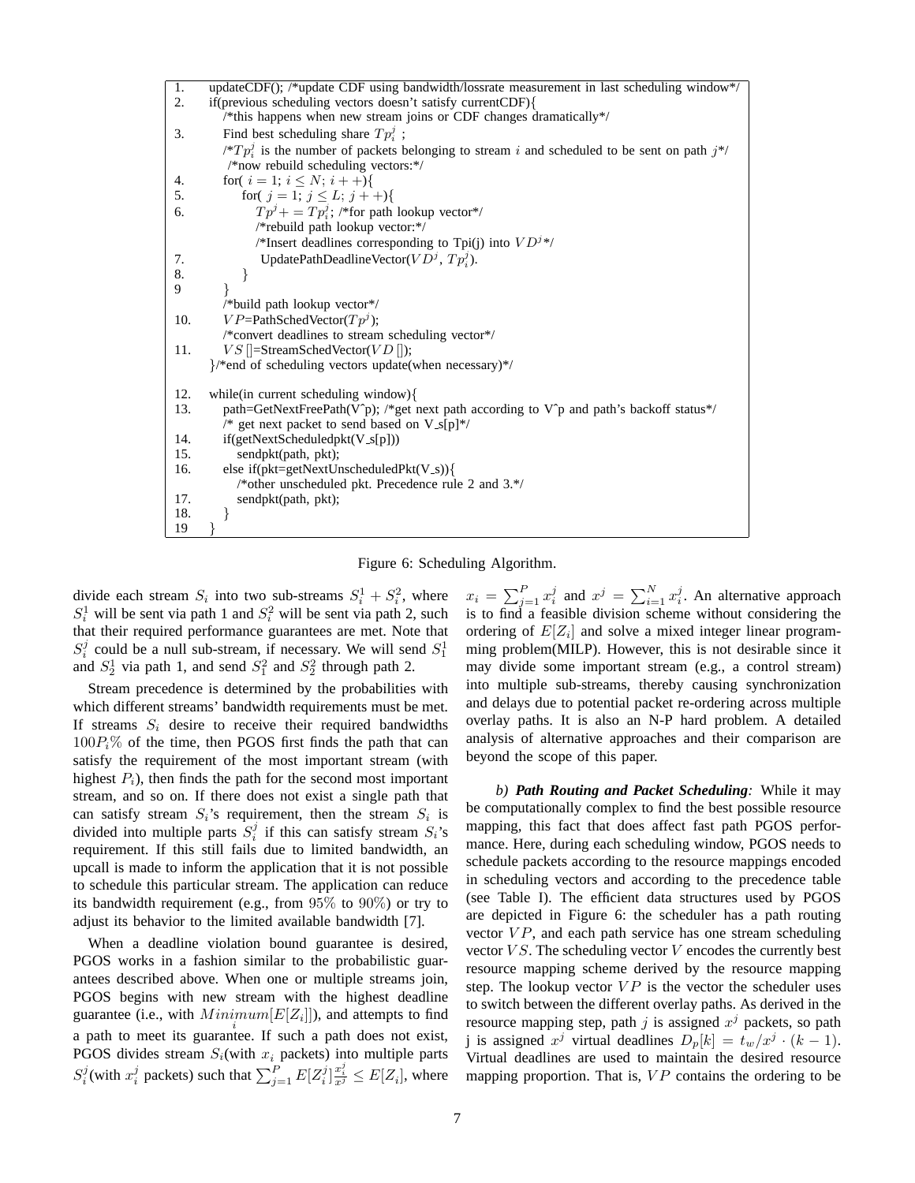

Figure 6: Scheduling Algorithm.

divide each stream  $S_i$  into two sub-streams  $S_i^1 + S_i^2$ , where  $S_i^1$  will be sent via path 1 and  $S_i^2$  will be sent via path 2, such that their required performance guarantees are met. Note that  $S_i^j$  could be a null sub-stream, if necessary. We will send  $S_1^1$ and  $S_2^1$  via path 1, and send  $S_1^2$  and  $S_2^2$  through path 2.

Stream precedence is determined by the probabilities with which different streams' bandwidth requirements must be met. If streams  $S_i$  desire to receive their required bandwidths  $100P_i\%$  of the time, then PGOS first finds the path that can satisfy the requirement of the most important stream (with highest  $P_i$ ), then finds the path for the second most important stream, and so on. If there does not exist a single path that can satisfy stream  $S_i$ 's requirement, then the stream  $S_i$  is divided into multiple parts  $S_i^j$  if this can satisfy stream  $S_i$ 's requirement. If this still fails due to limited bandwidth, an upcall is made to inform the application that it is not possible to schedule this particular stream. The application can reduce its bandwidth requirement (e.g., from 95% to 90%) or try to adjust its behavior to the limited available bandwidth [7].

When a deadline violation bound guarantee is desired, PGOS works in a fashion similar to the probabilistic guarantees described above. When one or multiple streams join, PGOS begins with new stream with the highest deadline guarantee (i.e., with  $Minimum[E[Z_i]]$ ), and attempts to find a path to meet its guarantee. If such a path does not exist, PGOS divides stream  $S_i$ (with  $x_i$  packets) into multiple parts  $S_i^j$ (with  $x_i^j$  packets) such that  $\sum_{j=1}^P E[Z_i^j] \frac{x_i^j}{x_j} \leq E[Z_i]$ , where

 $x_i = \sum_{j=1}^P x_i^j$  and  $x^j = \sum_{i=1}^N x_i^j$ . An alternative approach is to find a feasible division scheme without considering the ordering of  $E[Z_i]$  and solve a mixed integer linear programming problem(MILP). However, this is not desirable since it may divide some important stream (e.g., a control stream) into multiple sub-streams, thereby causing synchronization and delays due to potential packet re-ordering across multiple overlay paths. It is also an N-P hard problem. A detailed analysis of alternative approaches and their comparison are beyond the scope of this paper.

*b) Path Routing and Packet Scheduling:* While it may be computationally complex to find the best possible resource mapping, this fact that does affect fast path PGOS performance. Here, during each scheduling window, PGOS needs to schedule packets according to the resource mappings encoded in scheduling vectors and according to the precedence table (see Table I). The efficient data structures used by PGOS are depicted in Figure 6: the scheduler has a path routing vector  $VP$ , and each path service has one stream scheduling vector  $VS$ . The scheduling vector  $V$  encodes the currently best resource mapping scheme derived by the resource mapping step. The lookup vector  $VP$  is the vector the scheduler uses to switch between the different overlay paths. As derived in the resource mapping step, path j is assigned  $x<sup>j</sup>$  packets, so path j is assigned  $x^j$  virtual deadlines  $D_p[k] = t_w/x^j \cdot (k-1)$ . Virtual deadlines are used to maintain the desired resource mapping proportion. That is,  $VP$  contains the ordering to be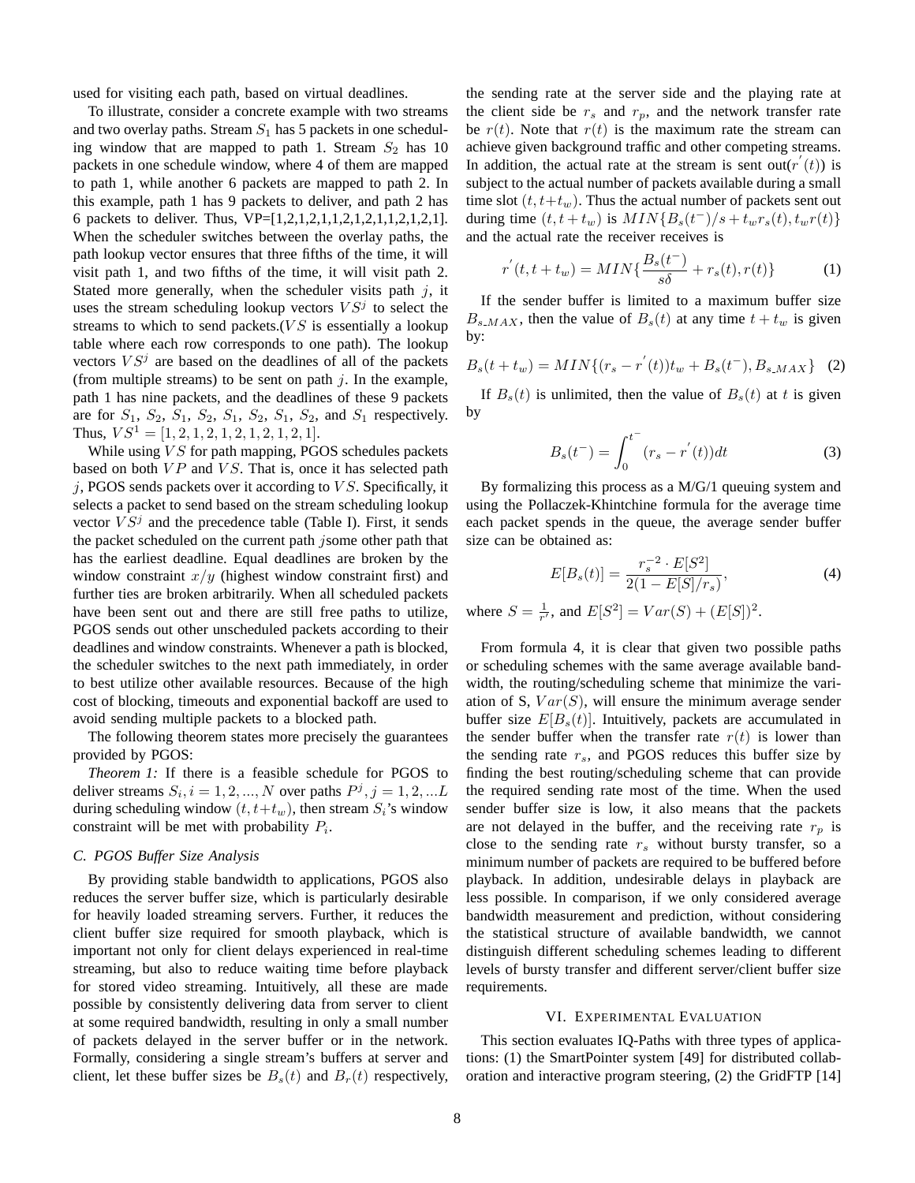used for visiting each path, based on virtual deadlines.

To illustrate, consider a concrete example with two streams and two overlay paths. Stream  $S_1$  has 5 packets in one scheduling window that are mapped to path 1. Stream  $S_2$  has 10 packets in one schedule window, where 4 of them are mapped to path 1, while another 6 packets are mapped to path 2. In this example, path 1 has 9 packets to deliver, and path 2 has 6 packets to deliver. Thus, VP=[1,2,1,2,1,1,2,1,2,1,1,2,1,2,1]. When the scheduler switches between the overlay paths, the path lookup vector ensures that three fifths of the time, it will visit path 1, and two fifths of the time, it will visit path 2. Stated more generally, when the scheduler visits path  $j$ , it uses the stream scheduling lookup vectors  $VS<sup>j</sup>$  to select the streams to which to send packets.  $(VS)$  is essentially a lookup table where each row corresponds to one path). The lookup vectors  $VS<sup>j</sup>$  are based on the deadlines of all of the packets (from multiple streams) to be sent on path  $j$ . In the example, path 1 has nine packets, and the deadlines of these 9 packets are for  $S_1$ ,  $S_2$ ,  $S_1$ ,  $S_2$ ,  $S_1$ ,  $S_2$ ,  $S_1$ ,  $S_2$ , and  $S_1$  respectively. Thus,  $VS^1 = [1, 2, 1, 2, 1, 2, 1, 2, 1, 2, 1].$ 

While using  $VS$  for path mapping, PGOS schedules packets based on both  $VP$  and  $VS$ . That is, once it has selected path  $j$ , PGOS sends packets over it according to  $VS$ . Specifically, it selects a packet to send based on the stream scheduling lookup vector  $VS<sup>j</sup>$  and the precedence table (Table I). First, it sends the packet scheduled on the current path jsome other path that has the earliest deadline. Equal deadlines are broken by the window constraint  $x/y$  (highest window constraint first) and further ties are broken arbitrarily. When all scheduled packets have been sent out and there are still free paths to utilize, PGOS sends out other unscheduled packets according to their deadlines and window constraints. Whenever a path is blocked, the scheduler switches to the next path immediately, in order to best utilize other available resources. Because of the high cost of blocking, timeouts and exponential backoff are used to avoid sending multiple packets to a blocked path.

The following theorem states more precisely the guarantees provided by PGOS:

*Theorem 1:* If there is a feasible schedule for PGOS to deliver streams  $S_i$ ,  $i = 1, 2, ..., N$  over paths  $P^j$ ,  $j = 1, 2, ...L$ during scheduling window  $(t, t+t_w)$ , then stream  $S_i$ 's window constraint will be met with probability  $P_i$ .

#### *C. PGOS Buffer Size Analysis*

By providing stable bandwidth to applications, PGOS also reduces the server buffer size, which is particularly desirable for heavily loaded streaming servers. Further, it reduces the client buffer size required for smooth playback, which is important not only for client delays experienced in real-time streaming, but also to reduce waiting time before playback for stored video streaming. Intuitively, all these are made possible by consistently delivering data from server to client at some required bandwidth, resulting in only a small number of packets delayed in the server buffer or in the network. Formally, considering a single stream's buffers at server and client, let these buffer sizes be  $B_s(t)$  and  $B_r(t)$  respectively, the sending rate at the server side and the playing rate at the client side be  $r_s$  and  $r_p$ , and the network transfer rate be  $r(t)$ . Note that  $r(t)$  is the maximum rate the stream can achieve given background traffic and other competing streams. In addition, the actual rate at the stream is sent out( $r'(t)$ ) is subject to the actual number of packets available during a small time slot  $(t, t+t_w)$ . Thus the actual number of packets sent out during time  $(t, t+t_w)$  is  $MIN{B_s(t^-)} / s + t_w r_s(t), t_w r(t)$ and the actual rate the receiver receives is

$$
r^{'}(t, t + t_w) = MIN\{\frac{B_s(t^{-})}{s\delta} + r_s(t), r(t)\}
$$
 (1)

If the sender buffer is limited to a maximum buffer size  $B_{s \sim MAX}$ , then the value of  $B_s(t)$  at any time  $t + t_w$  is given by:

$$
B_s(t + t_w) = MIN\{(r_s - r'(t))t_w + B_s(t^-), B_{s \dots MAX}\}\quad (2)
$$

If  $B<sub>s</sub>(t)$  is unlimited, then the value of  $B<sub>s</sub>(t)$  at t is given by

$$
B_s(t^-) = \int_0^{t^-} (r_s - r^{'}(t))dt
$$
 (3)

By formalizing this process as a M/G/1 queuing system and using the Pollaczek-Khintchine formula for the average time each packet spends in the queue, the average sender buffer size can be obtained as:

$$
E[B_s(t)] = \frac{r_s^{-2} \cdot E[S^2]}{2(1 - E[S]/r_s)},
$$
\n(4)

where  $S = \frac{1}{r'}$ , and  $E[S^2] = Var(S) + (E[S])^2$ .

From formula 4, it is clear that given two possible paths or scheduling schemes with the same average available bandwidth, the routing/scheduling scheme that minimize the variation of S,  $Var(S)$ , will ensure the minimum average sender buffer size  $E[B<sub>s</sub>(t)]$ . Intuitively, packets are accumulated in the sender buffer when the transfer rate  $r(t)$  is lower than the sending rate  $r_s$ , and PGOS reduces this buffer size by finding the best routing/scheduling scheme that can provide the required sending rate most of the time. When the used sender buffer size is low, it also means that the packets are not delayed in the buffer, and the receiving rate  $r_p$  is close to the sending rate  $r_s$  without bursty transfer, so a minimum number of packets are required to be buffered before playback. In addition, undesirable delays in playback are less possible. In comparison, if we only considered average bandwidth measurement and prediction, without considering the statistical structure of available bandwidth, we cannot distinguish different scheduling schemes leading to different levels of bursty transfer and different server/client buffer size requirements.

### VI. EXPERIMENTAL EVALUATION

This section evaluates IQ-Paths with three types of applications: (1) the SmartPointer system [49] for distributed collaboration and interactive program steering, (2) the GridFTP [14]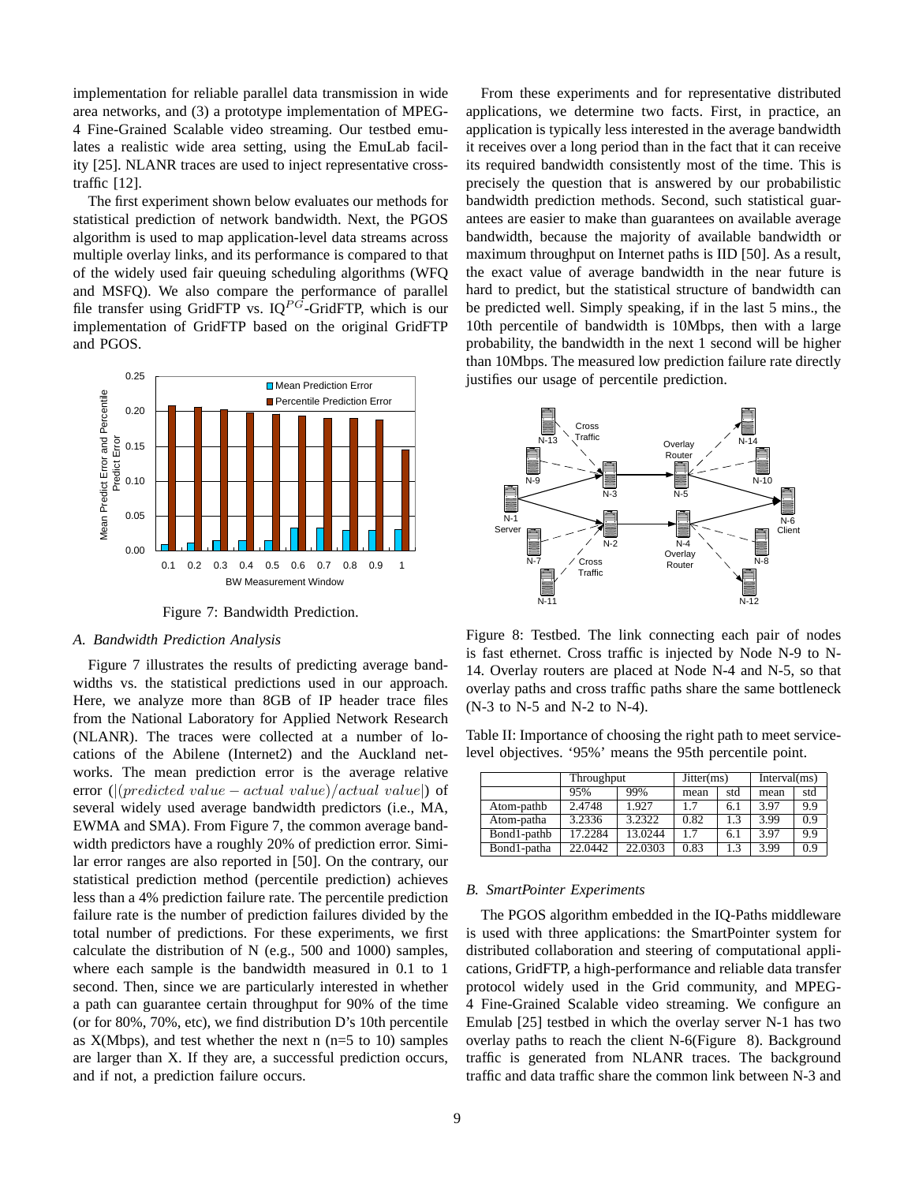implementation for reliable parallel data transmission in wide area networks, and (3) a prototype implementation of MPEG-4 Fine-Grained Scalable video streaming. Our testbed emulates a realistic wide area setting, using the EmuLab facility [25]. NLANR traces are used to inject representative crosstraffic [12].

The first experiment shown below evaluates our methods for statistical prediction of network bandwidth. Next, the PGOS algorithm is used to map application-level data streams across multiple overlay links, and its performance is compared to that of the widely used fair queuing scheduling algorithms (WFQ and MSFQ). We also compare the performance of parallel file transfer using GridFTP vs.  $IQ^{PG}$ -GridFTP, which is our implementation of GridFTP based on the original GridFTP and PGOS.



Figure 7: Bandwidth Prediction.

## *A. Bandwidth Prediction Analysis*

Figure 7 illustrates the results of predicting average bandwidths vs. the statistical predictions used in our approach. Here, we analyze more than 8GB of IP header trace files from the National Laboratory for Applied Network Research (NLANR). The traces were collected at a number of locations of the Abilene (Internet2) and the Auckland networks. The mean prediction error is the average relative error ( $| (predicted value - actual value) / actual value)$ ) of several widely used average bandwidth predictors (i.e., MA, EWMA and SMA). From Figure 7, the common average bandwidth predictors have a roughly 20% of prediction error. Similar error ranges are also reported in [50]. On the contrary, our statistical prediction method (percentile prediction) achieves less than a 4% prediction failure rate. The percentile prediction failure rate is the number of prediction failures divided by the total number of predictions. For these experiments, we first calculate the distribution of N (e.g., 500 and 1000) samples, where each sample is the bandwidth measured in 0.1 to 1 second. Then, since we are particularly interested in whether a path can guarantee certain throughput for 90% of the time (or for 80%, 70%, etc), we find distribution D's 10th percentile as  $X(Mbps)$ , and test whether the next n (n=5 to 10) samples are larger than X. If they are, a successful prediction occurs, and if not, a prediction failure occurs.

From these experiments and for representative distributed applications, we determine two facts. First, in practice, an application is typically less interested in the average bandwidth it receives over a long period than in the fact that it can receive its required bandwidth consistently most of the time. This is precisely the question that is answered by our probabilistic bandwidth prediction methods. Second, such statistical guarantees are easier to make than guarantees on available average bandwidth, because the majority of available bandwidth or maximum throughput on Internet paths is IID [50]. As a result, the exact value of average bandwidth in the near future is hard to predict, but the statistical structure of bandwidth can be predicted well. Simply speaking, if in the last 5 mins., the 10th percentile of bandwidth is 10Mbps, then with a large probability, the bandwidth in the next 1 second will be higher than 10Mbps. The measured low prediction failure rate directly justifies our usage of percentile prediction.



Figure 8: Testbed. The link connecting each pair of nodes is fast ethernet. Cross traffic is injected by Node N-9 to N-14. Overlay routers are placed at Node N-4 and N-5, so that overlay paths and cross traffic paths share the same bottleneck (N-3 to N-5 and N-2 to N-4).

Table II: Importance of choosing the right path to meet servicelevel objectives. '95%' means the 95th percentile point.

|             | Throughput |         | Jitter(ms) |     | Interval(ms) |     |
|-------------|------------|---------|------------|-----|--------------|-----|
|             | 95%        | 99%     | mean       | std | mean         | std |
| Atom-pathb  | 2.4748     | 1.927   | 1.7        | 6.1 | 3.97         | 99  |
| Atom-patha  | 3.2336     | 3.2322  | 0.82       | 1.3 | 3.99         | 09  |
| Bond1-pathb | 17.2284    | 13.0244 | 1.7        | 6.1 | 3.97         | 99  |
| Bond1-patha | 22.0442    | 22.0303 | 0.83       | 1.3 | 3.99         | 0.9 |

#### *B. SmartPointer Experiments*

The PGOS algorithm embedded in the IQ-Paths middleware is used with three applications: the SmartPointer system for distributed collaboration and steering of computational applications, GridFTP, a high-performance and reliable data transfer protocol widely used in the Grid community, and MPEG-4 Fine-Grained Scalable video streaming. We configure an Emulab [25] testbed in which the overlay server N-1 has two overlay paths to reach the client N-6(Figure 8). Background traffic is generated from NLANR traces. The background traffic and data traffic share the common link between N-3 and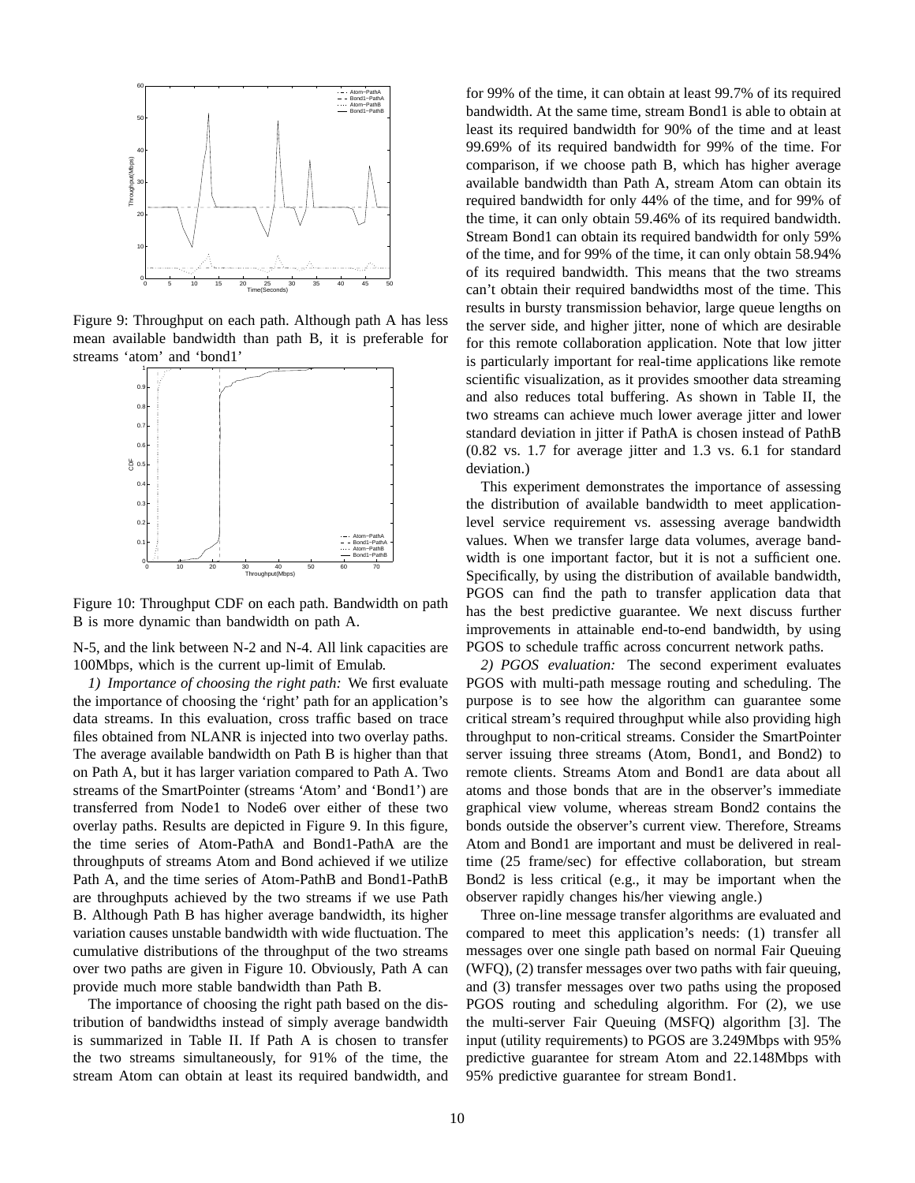

Figure 9: Throughput on each path. Although path A has less mean available bandwidth than path B, it is preferable for streams 'atom' and 'bond1'



Figure 10: Throughput CDF on each path. Bandwidth on path B is more dynamic than bandwidth on path A.

N-5, and the link between N-2 and N-4. All link capacities are 100Mbps, which is the current up-limit of Emulab.

*1) Importance of choosing the right path:* We first evaluate the importance of choosing the 'right' path for an application's data streams. In this evaluation, cross traffic based on trace files obtained from NLANR is injected into two overlay paths. The average available bandwidth on Path B is higher than that on Path A, but it has larger variation compared to Path A. Two streams of the SmartPointer (streams 'Atom' and 'Bond1') are transferred from Node1 to Node6 over either of these two overlay paths. Results are depicted in Figure 9. In this figure, the time series of Atom-PathA and Bond1-PathA are the throughputs of streams Atom and Bond achieved if we utilize Path A, and the time series of Atom-PathB and Bond1-PathB are throughputs achieved by the two streams if we use Path B. Although Path B has higher average bandwidth, its higher variation causes unstable bandwidth with wide fluctuation. The cumulative distributions of the throughput of the two streams over two paths are given in Figure 10. Obviously, Path A can provide much more stable bandwidth than Path B.

The importance of choosing the right path based on the distribution of bandwidths instead of simply average bandwidth is summarized in Table II. If Path A is chosen to transfer the two streams simultaneously, for 91% of the time, the stream Atom can obtain at least its required bandwidth, and for 99% of the time, it can obtain at least 99.7% of its required bandwidth. At the same time, stream Bond1 is able to obtain at least its required bandwidth for 90% of the time and at least 99.69% of its required bandwidth for 99% of the time. For comparison, if we choose path B, which has higher average available bandwidth than Path A, stream Atom can obtain its required bandwidth for only 44% of the time, and for 99% of the time, it can only obtain 59.46% of its required bandwidth. Stream Bond1 can obtain its required bandwidth for only 59% of the time, and for 99% of the time, it can only obtain 58.94% of its required bandwidth. This means that the two streams can't obtain their required bandwidths most of the time. This results in bursty transmission behavior, large queue lengths on the server side, and higher jitter, none of which are desirable for this remote collaboration application. Note that low jitter is particularly important for real-time applications like remote scientific visualization, as it provides smoother data streaming and also reduces total buffering. As shown in Table II, the two streams can achieve much lower average jitter and lower standard deviation in jitter if PathA is chosen instead of PathB (0.82 vs. 1.7 for average jitter and 1.3 vs. 6.1 for standard deviation.)

This experiment demonstrates the importance of assessing the distribution of available bandwidth to meet applicationlevel service requirement vs. assessing average bandwidth values. When we transfer large data volumes, average bandwidth is one important factor, but it is not a sufficient one. Specifically, by using the distribution of available bandwidth, PGOS can find the path to transfer application data that has the best predictive guarantee. We next discuss further improvements in attainable end-to-end bandwidth, by using PGOS to schedule traffic across concurrent network paths.

*2) PGOS evaluation:* The second experiment evaluates PGOS with multi-path message routing and scheduling. The purpose is to see how the algorithm can guarantee some critical stream's required throughput while also providing high throughput to non-critical streams. Consider the SmartPointer server issuing three streams (Atom, Bond1, and Bond2) to remote clients. Streams Atom and Bond1 are data about all atoms and those bonds that are in the observer's immediate graphical view volume, whereas stream Bond2 contains the bonds outside the observer's current view. Therefore, Streams Atom and Bond1 are important and must be delivered in realtime (25 frame/sec) for effective collaboration, but stream Bond2 is less critical (e.g., it may be important when the observer rapidly changes his/her viewing angle.)

Three on-line message transfer algorithms are evaluated and compared to meet this application's needs: (1) transfer all messages over one single path based on normal Fair Queuing (WFQ), (2) transfer messages over two paths with fair queuing, and (3) transfer messages over two paths using the proposed PGOS routing and scheduling algorithm. For (2), we use the multi-server Fair Queuing (MSFQ) algorithm [3]. The input (utility requirements) to PGOS are 3.249Mbps with 95% predictive guarantee for stream Atom and 22.148Mbps with 95% predictive guarantee for stream Bond1.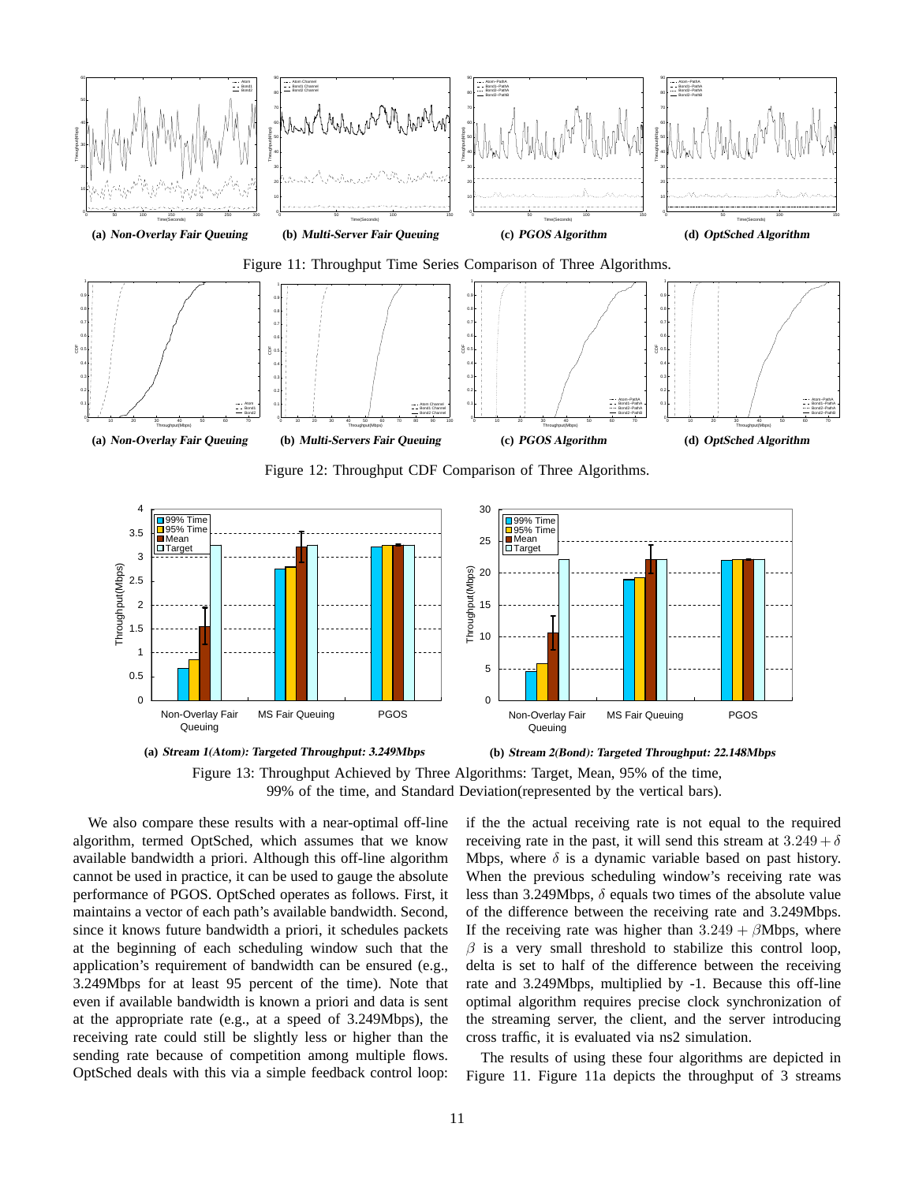



**(a)** Stream 1(Atom): Targeted Throughput: 3.249Mbps



Figure 13: Throughput Achieved by Three Algorithms: Target, Mean, 95% of the time, 99% of the time, and Standard Deviation(represented by the vertical bars).

We also compare these results with a near-optimal off-line algorithm, termed OptSched, which assumes that we know available bandwidth a priori. Although this off-line algorithm cannot be used in practice, it can be used to gauge the absolute performance of PGOS. OptSched operates as follows. First, it maintains a vector of each path's available bandwidth. Second, since it knows future bandwidth a priori, it schedules packets at the beginning of each scheduling window such that the application's requirement of bandwidth can be ensured (e.g., 3.249Mbps for at least 95 percent of the time). Note that even if available bandwidth is known a priori and data is sent at the appropriate rate (e.g., at a speed of 3.249Mbps), the receiving rate could still be slightly less or higher than the sending rate because of competition among multiple flows. OptSched deals with this via a simple feedback control loop:

if the the actual receiving rate is not equal to the required receiving rate in the past, it will send this stream at  $3.249 + \delta$ Mbps, where  $\delta$  is a dynamic variable based on past history. When the previous scheduling window's receiving rate was less than 3.249Mbps,  $\delta$  equals two times of the absolute value of the difference between the receiving rate and 3.249Mbps. If the receiving rate was higher than  $3.249 + \beta Mbps$ , where  $\beta$  is a very small threshold to stabilize this control loop, delta is set to half of the difference between the receiving rate and 3.249Mbps, multiplied by -1. Because this off-line optimal algorithm requires precise clock synchronization of the streaming server, the client, and the server introducing cross traffic, it is evaluated via ns2 simulation.

The results of using these four algorithms are depicted in Figure 11. Figure 11a depicts the throughput of 3 streams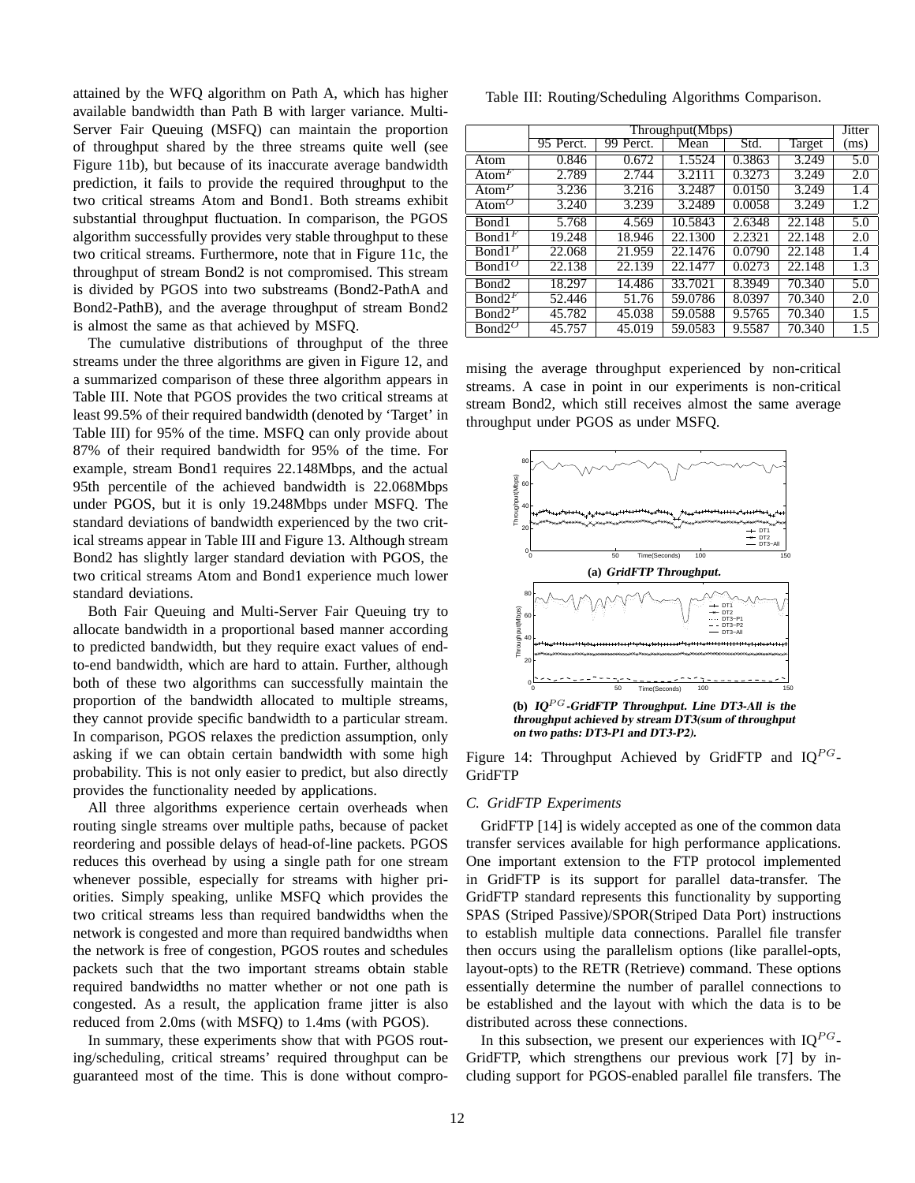attained by the WFQ algorithm on Path A, which has higher available bandwidth than Path B with larger variance. Multi-Server Fair Queuing (MSFQ) can maintain the proportion of throughput shared by the three streams quite well (see Figure 11b), but because of its inaccurate average bandwidth prediction, it fails to provide the required throughput to the two critical streams Atom and Bond1. Both streams exhibit substantial throughput fluctuation. In comparison, the PGOS algorithm successfully provides very stable throughput to these two critical streams. Furthermore, note that in Figure 11c, the throughput of stream Bond2 is not compromised. This stream is divided by PGOS into two substreams (Bond2-PathA and Bond2-PathB), and the average throughput of stream Bond2 is almost the same as that achieved by MSFQ.

The cumulative distributions of throughput of the three streams under the three algorithms are given in Figure 12, and a summarized comparison of these three algorithm appears in Table III. Note that PGOS provides the two critical streams at least 99.5% of their required bandwidth (denoted by 'Target' in Table III) for 95% of the time. MSFQ can only provide about 87% of their required bandwidth for 95% of the time. For example, stream Bond1 requires 22.148Mbps, and the actual 95th percentile of the achieved bandwidth is 22.068Mbps under PGOS, but it is only 19.248Mbps under MSFQ. The standard deviations of bandwidth experienced by the two critical streams appear in Table III and Figure 13. Although stream Bond2 has slightly larger standard deviation with PGOS, the two critical streams Atom and Bond1 experience much lower standard deviations.

Both Fair Queuing and Multi-Server Fair Queuing try to allocate bandwidth in a proportional based manner according to predicted bandwidth, but they require exact values of endto-end bandwidth, which are hard to attain. Further, although both of these two algorithms can successfully maintain the proportion of the bandwidth allocated to multiple streams, they cannot provide specific bandwidth to a particular stream. In comparison, PGOS relaxes the prediction assumption, only asking if we can obtain certain bandwidth with some high probability. This is not only easier to predict, but also directly provides the functionality needed by applications.

All three algorithms experience certain overheads when routing single streams over multiple paths, because of packet reordering and possible delays of head-of-line packets. PGOS reduces this overhead by using a single path for one stream whenever possible, especially for streams with higher priorities. Simply speaking, unlike MSFQ which provides the two critical streams less than required bandwidths when the network is congested and more than required bandwidths when the network is free of congestion, PGOS routes and schedules packets such that the two important streams obtain stable required bandwidths no matter whether or not one path is congested. As a result, the application frame jitter is also reduced from 2.0ms (with MSFQ) to 1.4ms (with PGOS).

In summary, these experiments show that with PGOS routing/scheduling, critical streams' required throughput can be guaranteed most of the time. This is done without compro-

Table III: Routing/Scheduling Algorithms Comparison.

|                                     | Throughput(Mbps) |           |         | Jitter |        |      |
|-------------------------------------|------------------|-----------|---------|--------|--------|------|
|                                     | 95 Perct.        | 99 Perct. | Mean    | Std.   | Target | (ms) |
| Atom                                | 0.846            | 0.672     | 1.5524  | 0.3863 | 3.249  | 5.0  |
| Atom <sup><math>F</math></sup>      | 2.789            | 2.744     | 3.2111  | 0.3273 | 3.249  | 2.0  |
| Atom $P$                            | 3.236            | 3.216     | 3.2487  | 0.0150 | 3.249  | 1.4  |
| Atom <sup><math>\Omega</math></sup> | 3.240            | 3.239     | 3.2489  | 0.0058 | 3.249  | 1.2  |
| Bond1                               | 5.768            | 4.569     | 10.5843 | 2.6348 | 22.148 | 5.0  |
| Bond1 <sup>F</sup>                  | 19.248           | 18.946    | 22.1300 | 2.2321 | 22.148 | 2.0  |
| Bond1 <sup>P</sup>                  | 22.068           | 21.959    | 22.1476 | 0.0790 | 22.148 | 1.4  |
| Bond1 <sup>O</sup>                  | 22.138           | 22.139    | 22.1477 | 0.0273 | 22.148 | 1.3  |
| Bond <sub>2</sub>                   | 18.297           | 14.486    | 33.7021 | 8.3949 | 70.340 | 5.0  |
| Bond2 <sup>F</sup>                  | 52.446           | 51.76     | 59.0786 | 8.0397 | 70.340 | 2.0  |
| Bond2 <sup>P</sup>                  | 45.782           | 45.038    | 59.0588 | 9.5765 | 70.340 | 1.5  |
| Bond2 <sup>O</sup>                  | 45.757           | 45.019    | 59.0583 | 9.5587 | 70.340 | 1.5  |

mising the average throughput experienced by non-critical streams. A case in point in our experiments is non-critical stream Bond2, which still receives almost the same average throughput under PGOS as under MSFQ.



(b)  $IQ^{PG}$ -GridFTP Throughput. Line DT3-All is the throughput achieved by stream DT3(sum of throughput on two paths: DT3-P1 and DT3-P2).

Figure 14: Throughput Achieved by GridFTP and  $IQ^{PG}$ -GridFTP

## *C. GridFTP Experiments*

GridFTP [14] is widely accepted as one of the common data transfer services available for high performance applications. One important extension to the FTP protocol implemented in GridFTP is its support for parallel data-transfer. The GridFTP standard represents this functionality by supporting SPAS (Striped Passive)/SPOR(Striped Data Port) instructions to establish multiple data connections. Parallel file transfer then occurs using the parallelism options (like parallel-opts, layout-opts) to the RETR (Retrieve) command. These options essentially determine the number of parallel connections to be established and the layout with which the data is to be distributed across these connections.

In this subsection, we present our experiences with  $IQ^{PG}$ -GridFTP, which strengthens our previous work [7] by including support for PGOS-enabled parallel file transfers. The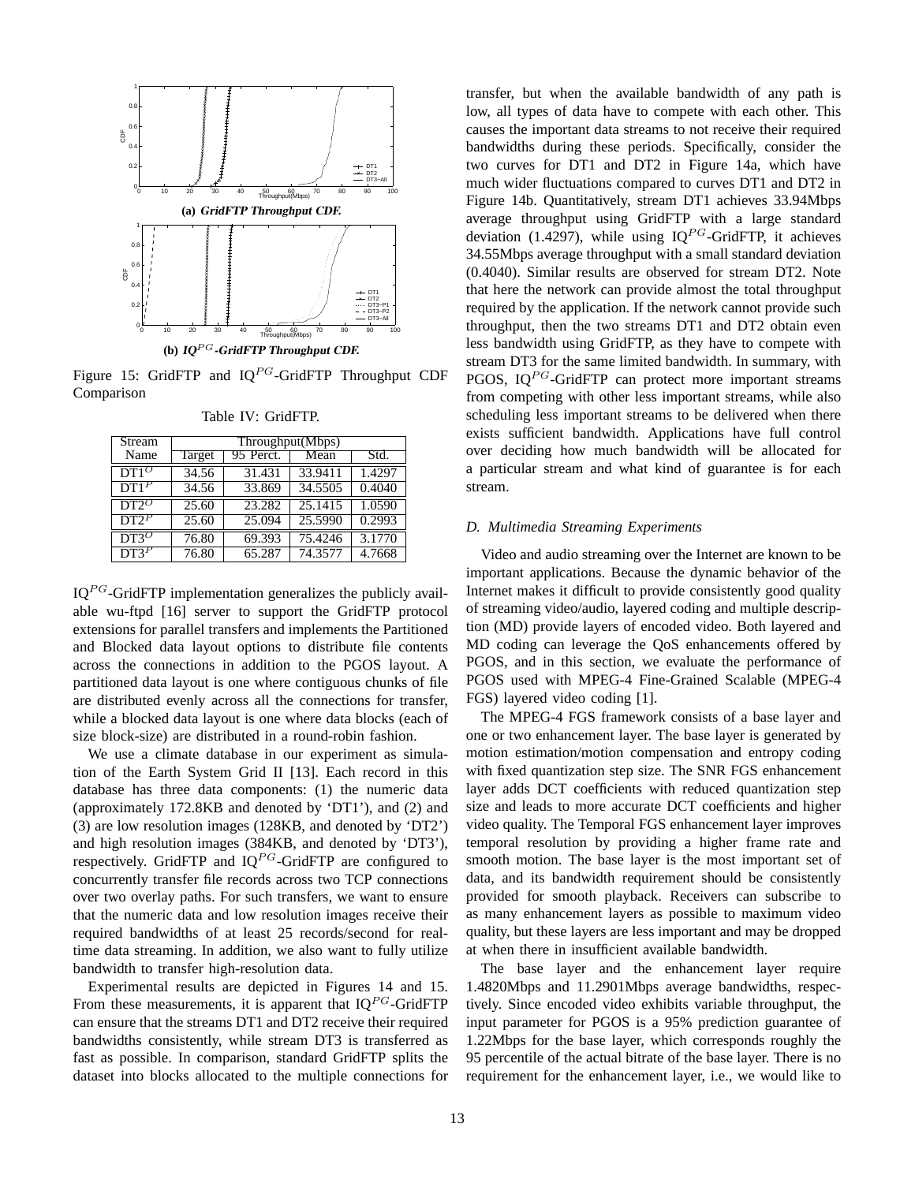

(b)  $IQ^{PG}$ -GridFTP Throughput CDF.

Figure 15: GridFTP and  $IO^{PG}$ -GridFTP Throughput CDF Comparison

| Stream           |        | Throughput(Mbps) |         |        |
|------------------|--------|------------------|---------|--------|
| Name             | Target | 95 Perct.        | Mean    | Std.   |
| $DT1^O$          | 34.56  | 31.431           | 33.9411 | 1.4297 |
| $DT1^P$          | 34.56  | 33.869           | 34.5505 | 0.4040 |
| $DT2^O$          | 25.60  | 23.282           | 25.1415 | 1.0590 |
| $DT2^P$          | 25.60  | 25.094           | 25.5990 | 0.2993 |
| DT3 <sup>O</sup> | 76.80  | 69.393           | 75.4246 | 3.1770 |
| $DT3^P$          | 76.80  | 65.287           | 74.3577 | 4.7668 |

Table IV: GridFTP.

 $IQ^{PG}$ -GridFTP implementation generalizes the publicly available wu-ftpd [16] server to support the GridFTP protocol extensions for parallel transfers and implements the Partitioned and Blocked data layout options to distribute file contents across the connections in addition to the PGOS layout. A partitioned data layout is one where contiguous chunks of file are distributed evenly across all the connections for transfer, while a blocked data layout is one where data blocks (each of size block-size) are distributed in a round-robin fashion.

We use a climate database in our experiment as simulation of the Earth System Grid II [13]. Each record in this database has three data components: (1) the numeric data (approximately 172.8KB and denoted by 'DT1'), and (2) and (3) are low resolution images (128KB, and denoted by 'DT2') and high resolution images (384KB, and denoted by 'DT3'), respectively. GridFTP and  $IQ^{PG}$ -GridFTP are configured to concurrently transfer file records across two TCP connections over two overlay paths. For such transfers, we want to ensure that the numeric data and low resolution images receive their required bandwidths of at least 25 records/second for realtime data streaming. In addition, we also want to fully utilize bandwidth to transfer high-resolution data.

Experimental results are depicted in Figures 14 and 15. From these measurements, it is apparent that  $IQ^{PG}$ -GridFTP can ensure that the streams DT1 and DT2 receive their required bandwidths consistently, while stream DT3 is transferred as fast as possible. In comparison, standard GridFTP splits the dataset into blocks allocated to the multiple connections for transfer, but when the available bandwidth of any path is low, all types of data have to compete with each other. This causes the important data streams to not receive their required bandwidths during these periods. Specifically, consider the two curves for DT1 and DT2 in Figure 14a, which have much wider fluctuations compared to curves DT1 and DT2 in Figure 14b. Quantitatively, stream DT1 achieves 33.94Mbps average throughput using GridFTP with a large standard deviation (1.4297), while using  $IQ^{PG}$ -GridFTP, it achieves 34.55Mbps average throughput with a small standard deviation (0.4040). Similar results are observed for stream DT2. Note that here the network can provide almost the total throughput required by the application. If the network cannot provide such throughput, then the two streams DT1 and DT2 obtain even less bandwidth using GridFTP, as they have to compete with stream DT3 for the same limited bandwidth. In summary, with PGOS,  $IQ^{PG}$ -GridFTP can protect more important streams from competing with other less important streams, while also scheduling less important streams to be delivered when there exists sufficient bandwidth. Applications have full control over deciding how much bandwidth will be allocated for a particular stream and what kind of guarantee is for each stream.

#### *D. Multimedia Streaming Experiments*

Video and audio streaming over the Internet are known to be important applications. Because the dynamic behavior of the Internet makes it difficult to provide consistently good quality of streaming video/audio, layered coding and multiple description (MD) provide layers of encoded video. Both layered and MD coding can leverage the QoS enhancements offered by PGOS, and in this section, we evaluate the performance of PGOS used with MPEG-4 Fine-Grained Scalable (MPEG-4 FGS) layered video coding [1].

The MPEG-4 FGS framework consists of a base layer and one or two enhancement layer. The base layer is generated by motion estimation/motion compensation and entropy coding with fixed quantization step size. The SNR FGS enhancement layer adds DCT coefficients with reduced quantization step size and leads to more accurate DCT coefficients and higher video quality. The Temporal FGS enhancement layer improves temporal resolution by providing a higher frame rate and smooth motion. The base layer is the most important set of data, and its bandwidth requirement should be consistently provided for smooth playback. Receivers can subscribe to as many enhancement layers as possible to maximum video quality, but these layers are less important and may be dropped at when there in insufficient available bandwidth.

The base layer and the enhancement layer require 1.4820Mbps and 11.2901Mbps average bandwidths, respectively. Since encoded video exhibits variable throughput, the input parameter for PGOS is a 95% prediction guarantee of 1.22Mbps for the base layer, which corresponds roughly the 95 percentile of the actual bitrate of the base layer. There is no requirement for the enhancement layer, i.e., we would like to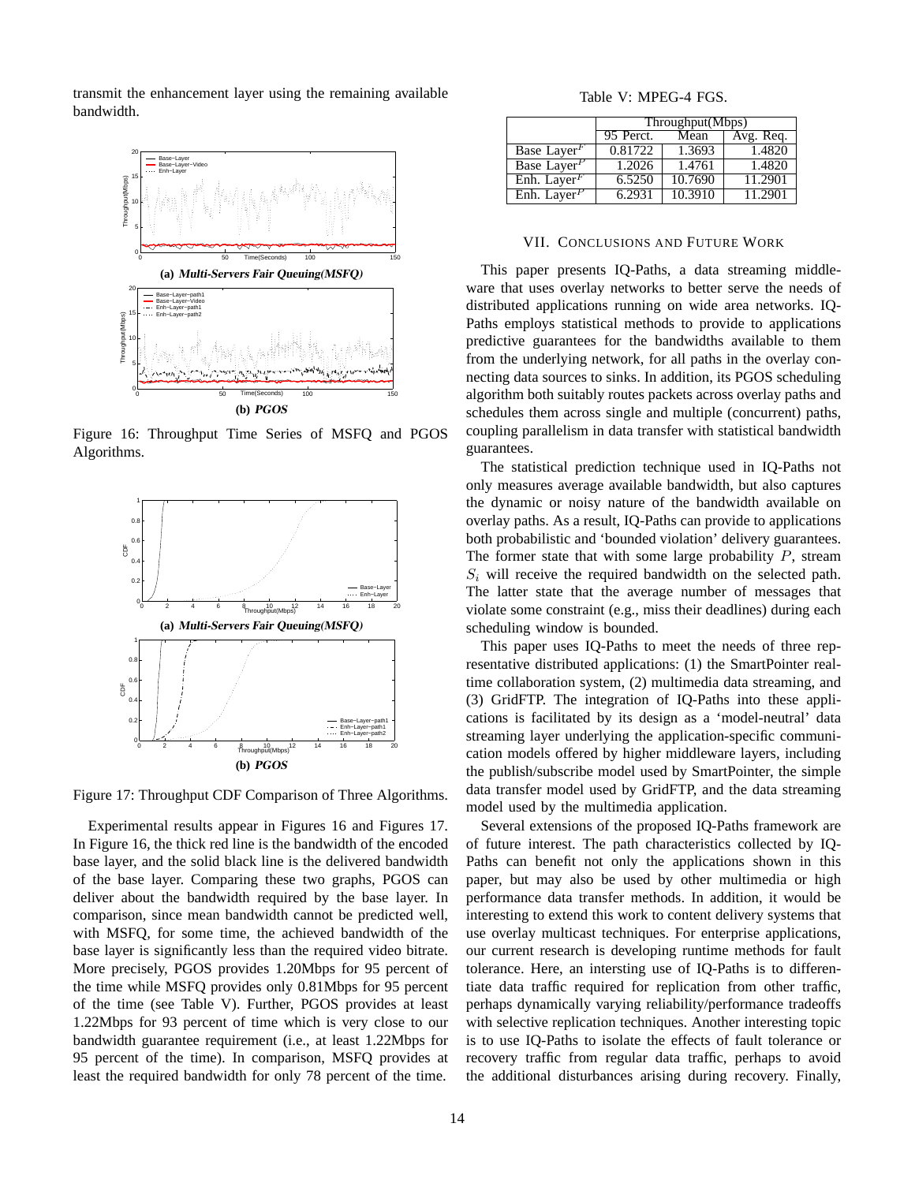transmit the enhancement layer using the remaining available bandwidth.



Figure 16: Throughput Time Series of MSFQ and PGOS Algorithms.



Figure 17: Throughput CDF Comparison of Three Algorithms.

Experimental results appear in Figures 16 and Figures 17. In Figure 16, the thick red line is the bandwidth of the encoded base layer, and the solid black line is the delivered bandwidth of the base layer. Comparing these two graphs, PGOS can deliver about the bandwidth required by the base layer. In comparison, since mean bandwidth cannot be predicted well, with MSFQ, for some time, the achieved bandwidth of the base layer is significantly less than the required video bitrate. More precisely, PGOS provides 1.20Mbps for 95 percent of the time while MSFQ provides only 0.81Mbps for 95 percent of the time (see Table V). Further, PGOS provides at least 1.22Mbps for 93 percent of time which is very close to our bandwidth guarantee requirement (i.e., at least 1.22Mbps for 95 percent of the time). In comparison, MSFQ provides at least the required bandwidth for only 78 percent of the time.

Table V: MPEG-4 FGS.

|                                      |           | Throughput(Mbps) |           |
|--------------------------------------|-----------|------------------|-----------|
|                                      | 95 Perct. | Mean             | Avg. Req. |
| Base Layer <sup><math>F</math></sup> | 0.81722   | 1.3693           | 1.4820    |
| Base Layer <sup><math>P</math></sup> | 1.2026    | 1.4761           | 1.4820    |
| Enh. Layer <sup><math>F</math></sup> | 6.5250    | 10.7690          | 11.2901   |
| Enh. Layer <sup><math>P</math></sup> | 6.2931    | 10.3910          | 11.2901   |

#### VII. CONCLUSIONS AND FUTURE WORK

This paper presents IQ-Paths, a data streaming middleware that uses overlay networks to better serve the needs of distributed applications running on wide area networks. IQ-Paths employs statistical methods to provide to applications predictive guarantees for the bandwidths available to them from the underlying network, for all paths in the overlay connecting data sources to sinks. In addition, its PGOS scheduling algorithm both suitably routes packets across overlay paths and schedules them across single and multiple (concurrent) paths, coupling parallelism in data transfer with statistical bandwidth guarantees.

The statistical prediction technique used in IQ-Paths not only measures average available bandwidth, but also captures the dynamic or noisy nature of the bandwidth available on overlay paths. As a result, IQ-Paths can provide to applications both probabilistic and 'bounded violation' delivery guarantees. The former state that with some large probability  $P$ , stream  $S_i$  will receive the required bandwidth on the selected path. The latter state that the average number of messages that violate some constraint (e.g., miss their deadlines) during each scheduling window is bounded.

This paper uses IQ-Paths to meet the needs of three representative distributed applications: (1) the SmartPointer realtime collaboration system, (2) multimedia data streaming, and (3) GridFTP. The integration of IQ-Paths into these applications is facilitated by its design as a 'model-neutral' data streaming layer underlying the application-specific communication models offered by higher middleware layers, including the publish/subscribe model used by SmartPointer, the simple data transfer model used by GridFTP, and the data streaming model used by the multimedia application.

Several extensions of the proposed IQ-Paths framework are of future interest. The path characteristics collected by IQ-Paths can benefit not only the applications shown in this paper, but may also be used by other multimedia or high performance data transfer methods. In addition, it would be interesting to extend this work to content delivery systems that use overlay multicast techniques. For enterprise applications, our current research is developing runtime methods for fault tolerance. Here, an intersting use of IQ-Paths is to differentiate data traffic required for replication from other traffic, perhaps dynamically varying reliability/performance tradeoffs with selective replication techniques. Another interesting topic is to use IQ-Paths to isolate the effects of fault tolerance or recovery traffic from regular data traffic, perhaps to avoid the additional disturbances arising during recovery. Finally,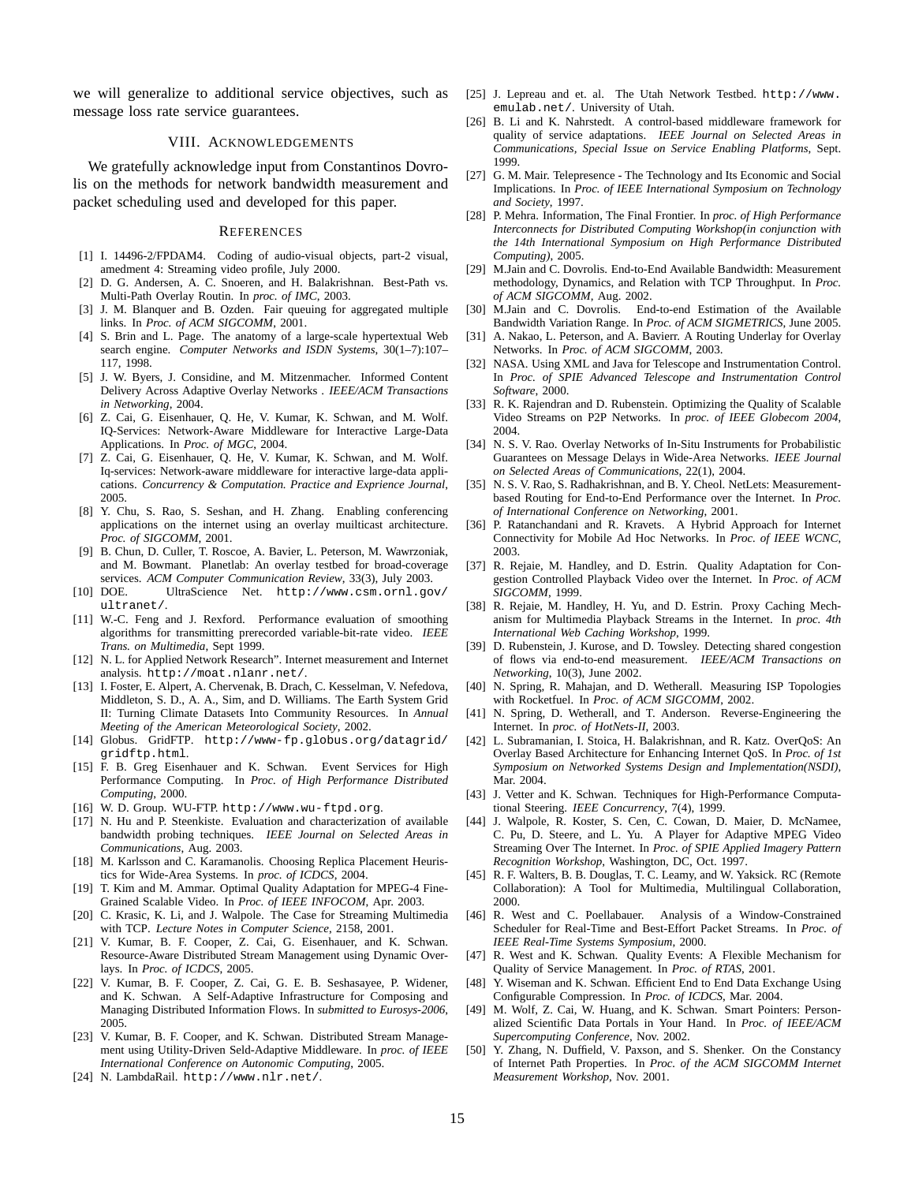we will generalize to additional service objectives, such as message loss rate service guarantees.

#### VIII. ACKNOWLEDGEMENTS

We gratefully acknowledge input from Constantinos Dovrolis on the methods for network bandwidth measurement and packet scheduling used and developed for this paper.

#### REFERENCES

- [1] I. 14496-2/FPDAM4. Coding of audio-visual objects, part-2 visual, amedment 4: Streaming video profile, July 2000.
- [2] D. G. Andersen, A. C. Snoeren, and H. Balakrishnan. Best-Path vs. Multi-Path Overlay Routin. In *proc. of IMC*, 2003.
- [3] J. M. Blanquer and B. Ozden. Fair queuing for aggregated multiple links. In *Proc. of ACM SIGCOMM*, 2001.
- [4] S. Brin and L. Page. The anatomy of a large-scale hypertextual Web search engine. *Computer Networks and ISDN Systems*, 30(1–7):107– 117, 1998.
- [5] J. W. Byers, J. Considine, and M. Mitzenmacher. Informed Content Delivery Across Adaptive Overlay Networks . *IEEE/ACM Transactions in Networking*, 2004.
- [6] Z. Cai, G. Eisenhauer, Q. He, V. Kumar, K. Schwan, and M. Wolf. IQ-Services: Network-Aware Middleware for Interactive Large-Data Applications. In *Proc. of MGC*, 2004.
- [7] Z. Cai, G. Eisenhauer, Q. He, V. Kumar, K. Schwan, and M. Wolf. Iq-services: Network-aware middleware for interactive large-data applications. *Concurrency & Computation. Practice and Exprience Journal*, 2005.
- [8] Y. Chu, S. Rao, S. Seshan, and H. Zhang. Enabling conferencing applications on the internet using an overlay muilticast architecture. *Proc. of SIGCOMM*, 2001.
- [9] B. Chun, D. Culler, T. Roscoe, A. Bavier, L. Peterson, M. Wawrzoniak, and M. Bowmant. Planetlab: An overlay testbed for broad-coverage services. *ACM Computer Communication Review*, 33(3), July 2003.
- [10] DOE. UltraScience Net. http://www.csm.ornl.gov/ ultranet/.
- [11] W.-C. Feng and J. Rexford. Performance evaluation of smoothing algorithms for transmitting prerecorded variable-bit-rate video. *IEEE Trans. on Multimedia*, Sept 1999.
- [12] N. L. for Applied Network Research". Internet measurement and Internet analysis. http://moat.nlanr.net/.
- [13] I. Foster, E. Alpert, A. Chervenak, B. Drach, C. Kesselman, V. Nefedova, Middleton, S. D., A. A., Sim, and D. Williams. The Earth System Grid II: Turning Climate Datasets Into Community Resources. In *Annual Meeting of the American Meteorological Society*, 2002.
- [14] Globus. GridFTP. http://www-fp.globus.org/datagrid/ gridftp.html.
- [15] F. B. Greg Eisenhauer and K. Schwan. Event Services for High Performance Computing. In *Proc. of High Performance Distributed Computing*, 2000.
- [16] W. D. Group. WU-FTP. http://www.wu-ftpd.org.
- [17] N. Hu and P. Steenkiste. Evaluation and characterization of available bandwidth probing techniques. *IEEE Journal on Selected Areas in Communications*, Aug. 2003.
- [18] M. Karlsson and C. Karamanolis. Choosing Replica Placement Heuristics for Wide-Area Systems. In *proc. of ICDCS*, 2004.
- [19] T. Kim and M. Ammar. Optimal Quality Adaptation for MPEG-4 Fine-Grained Scalable Video. In *Proc. of IEEE INFOCOM*, Apr. 2003.
- [20] C. Krasic, K. Li, and J. Walpole. The Case for Streaming Multimedia with TCP. *Lecture Notes in Computer Science*, 2158, 2001.
- [21] V. Kumar, B. F. Cooper, Z. Cai, G. Eisenhauer, and K. Schwan. Resource-Aware Distributed Stream Management using Dynamic Overlays. In *Proc. of ICDCS*, 2005.
- [22] V. Kumar, B. F. Cooper, Z. Cai, G. E. B. Seshasayee, P. Widener, and K. Schwan. A Self-Adaptive Infrastructure for Composing and Managing Distributed Information Flows. In *submitted to Eurosys-2006*, 2005.
- [23] V. Kumar, B. F. Cooper, and K. Schwan. Distributed Stream Management using Utility-Driven Seld-Adaptive Middleware. In *proc. of IEEE International Conference on Autonomic Computing*, 2005.
- [24] N. LambdaRail. http://www.nlr.net/.
- [25] J. Lepreau and et. al. The Utah Network Testbed. http://www. emulab.net/. University of Utah.
- [26] B. Li and K. Nahrstedt. A control-based middleware framework for quality of service adaptations. *IEEE Journal on Selected Areas in Communications, Special Issue on Service Enabling Platforms*, Sept. 1999.
- [27] G. M. Mair. Telepresence The Technology and Its Economic and Social Implications. In *Proc. of IEEE International Symposium on Technology and Society*, 1997.
- [28] P. Mehra. Information, The Final Frontier. In *proc. of High Performance Interconnects for Distributed Computing Workshop(in conjunction with the 14th International Symposium on High Performance Distributed Computing)*, 2005.
- [29] M.Jain and C. Dovrolis. End-to-End Available Bandwidth: Measurement methodology, Dynamics, and Relation with TCP Throughput. In *Proc. of ACM SIGCOMM*, Aug. 2002.
- [30] M.Jain and C. Dovrolis. End-to-end Estimation of the Available Bandwidth Variation Range. In *Proc. of ACM SIGMETRICS*, June 2005.
- [31] A. Nakao, L. Peterson, and A. Bavierr. A Routing Underlay for Overlay Networks. In *Proc. of ACM SIGCOMM*, 2003.
- [32] NASA. Using XML and Java for Telescope and Instrumentation Control. In *Proc. of SPIE Advanced Telescope and Instrumentation Control Software*, 2000.
- [33] R. K. Rajendran and D. Rubenstein. Optimizing the Quality of Scalable Video Streams on P2P Networks. In *proc. of IEEE Globecom 2004*, 2004.
- [34] N. S. V. Rao. Overlay Networks of In-Situ Instruments for Probabilistic Guarantees on Message Delays in Wide-Area Networks. *IEEE Journal on Selected Areas of Communications*, 22(1), 2004.
- [35] N. S. V. Rao, S. Radhakrishnan, and B. Y. Cheol. NetLets: Measurementbased Routing for End-to-End Performance over the Internet. In *Proc. of International Conference on Networking*, 2001.
- [36] P. Ratanchandani and R. Kravets. A Hybrid Approach for Internet Connectivity for Mobile Ad Hoc Networks. In *Proc. of IEEE WCNC*, 2003.
- [37] R. Rejaie, M. Handley, and D. Estrin. Quality Adaptation for Congestion Controlled Playback Video over the Internet. In *Proc. of ACM SIGCOMM*, 1999.
- [38] R. Rejaie, M. Handley, H. Yu, and D. Estrin. Proxy Caching Mechanism for Multimedia Playback Streams in the Internet. In *proc. 4th International Web Caching Workshop*, 1999.
- [39] D. Rubenstein, J. Kurose, and D. Towsley. Detecting shared congestion of flows via end-to-end measurement. *IEEE/ACM Transactions on Networking*, 10(3), June 2002.
- [40] N. Spring, R. Mahajan, and D. Wetherall. Measuring ISP Topologies with Rocketfuel. In *Proc. of ACM SIGCOMM*, 2002.
- [41] N. Spring, D. Wetherall, and T. Anderson. Reverse-Engineering the Internet. In *proc. of HotNets-II*, 2003.
- [42] L. Subramanian, I. Stoica, H. Balakrishnan, and R. Katz. OverQoS: An Overlay Based Architecture for Enhancing Internet QoS. In *Proc. of 1st Symposium on Networked Systems Design and Implementation(NSDI)*, Mar. 2004.
- [43] J. Vetter and K. Schwan. Techniques for High-Performance Computational Steering. *IEEE Concurrency*, 7(4), 1999.
- [44] J. Walpole, R. Koster, S. Cen, C. Cowan, D. Maier, D. McNamee, C. Pu, D. Steere, and L. Yu. A Player for Adaptive MPEG Video Streaming Over The Internet. In *Proc. of SPIE Applied Imagery Pattern Recognition Workshop*, Washington, DC, Oct. 1997.
- [45] R. F. Walters, B. B. Douglas, T. C. Leamy, and W. Yaksick. RC (Remote Collaboration): A Tool for Multimedia, Multilingual Collaboration, 2000.
- [46] R. West and C. Poellabauer. Analysis of a Window-Constrained Scheduler for Real-Time and Best-Effort Packet Streams. In *Proc. of IEEE Real-Time Systems Symposium*, 2000.
- [47] R. West and K. Schwan. Quality Events: A Flexible Mechanism for Quality of Service Management. In *Proc. of RTAS*, 2001.
- [48] Y. Wiseman and K. Schwan. Efficient End to End Data Exchange Using Configurable Compression. In *Proc. of ICDCS*, Mar. 2004.
- [49] M. Wolf, Z. Cai, W. Huang, and K. Schwan. Smart Pointers: Personalized Scientific Data Portals in Your Hand. In *Proc. of IEEE/ACM Supercomputing Conference*, Nov. 2002.
- [50] Y. Zhang, N. Duffield, V. Paxson, and S. Shenker. On the Constancy of Internet Path Properties. In *Proc. of the ACM SIGCOMM Internet Measurement Workshop*, Nov. 2001.